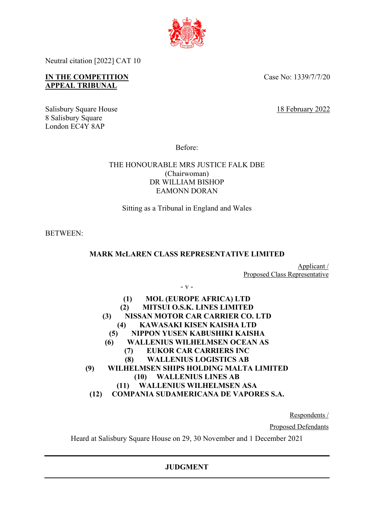

Neutral citation [2022] CAT 10

# **IN THE COMPETITION APPEAL TRIBUNAL**

Case No: 1339/7/7/20

Salisbury Square House 18 February 2022 8 Salisbury Square London EC4Y 8AP

Before:

# THE HONOURABLE MRS JUSTICE FALK DBE (Chairwoman) DR WILLIAM BISHOP EAMONN DORAN

Sitting as a Tribunal in England and Wales

BETWEEN:

# **MARK McLAREN CLASS REPRESENTATIVE LIMITED**

- v -

Applicant / Proposed Class Representative

| <b>MOL (EUROPE AFRICA) LTD</b><br>(1)         |
|-----------------------------------------------|
| <b>MITSUI O.S.K. LINES LIMITED</b><br>(2)     |
| NISSAN MOTOR CAR CARRIER CO. LTD<br>(3)       |
| KAWASAKI KISEN KAISHA LTD<br>(4)              |
| NIPPON YUSEN KABUSHIKI KAISHA<br>(5)          |
| <b>WALLENIUS WILHELMSEN OCEAN AS</b><br>(6)   |
| <b>EUKOR CAR CARRIERS INC</b><br>(7)          |
| <b>WALLENIUS LOGISTICS AB</b><br>(8)          |
| WILHELMSEN SHIPS HOLDING MALTA LIMITED<br>(9) |
| <b>WALLENIUS LINES AB</b><br>(10)             |
| <b>WALLENIUS WILHELMSEN ASA</b><br>(11)       |
| COMPANIA SUDAMERICANA DE VAPORES S.A.         |

Respondents /

Proposed Defendants

Heard at Salisbury Square House on 29, 30 November and 1 December 2021

# **JUDGMENT**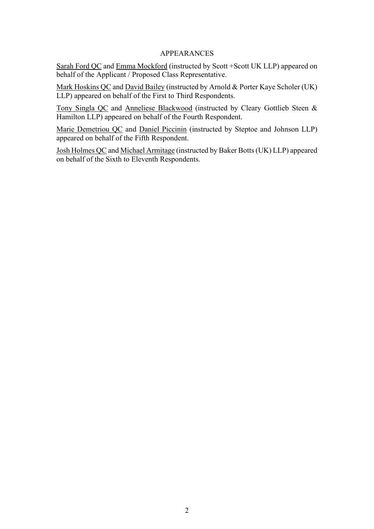## APPEARANCES

Sarah Ford QC and Emma Mockford (instructed by Scott +Scott UK LLP) appeared on behalf of the Applicant / Proposed Class Representative.

Mark Hoskins QC and David Bailey (instructed by Arnold & Porter Kaye Scholer (UK) LLP) appeared on behalf of the First to Third Respondents.

Tony Singla QC and Anneliese Blackwood (instructed by Cleary Gottlieb Steen & Hamilton LLP) appeared on behalf of the Fourth Respondent.

Marie Demetriou QC and Daniel Piccinin (instructed by Steptoe and Johnson LLP) appeared on behalf of the Fifth Respondent.

Josh Holmes QC and Michael Armitage (instructed by Baker Botts (UK) LLP) appeared on behalf of the Sixth to Eleventh Respondents.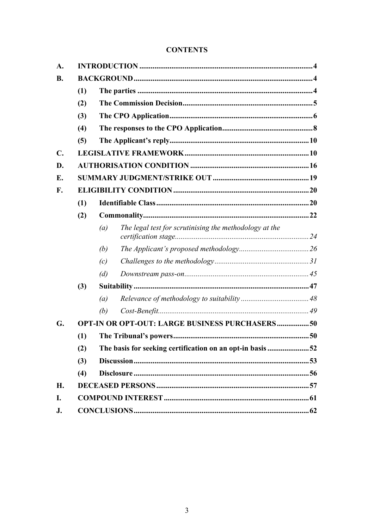# **CONTENTS**

| A.        |                                                       |                                                           |                                                        |  |     |  |
|-----------|-------------------------------------------------------|-----------------------------------------------------------|--------------------------------------------------------|--|-----|--|
| <b>B.</b> |                                                       |                                                           |                                                        |  |     |  |
|           | (1)                                                   |                                                           |                                                        |  |     |  |
|           | (2)                                                   |                                                           |                                                        |  |     |  |
|           | (3)<br>(4)                                            |                                                           |                                                        |  |     |  |
|           |                                                       |                                                           |                                                        |  | (5) |  |
|           | $\mathbf{C}$ .                                        |                                                           |                                                        |  |     |  |
| D.        |                                                       |                                                           |                                                        |  |     |  |
| Е.        |                                                       |                                                           |                                                        |  |     |  |
| F.        |                                                       |                                                           |                                                        |  |     |  |
|           | (1)                                                   |                                                           |                                                        |  |     |  |
|           | (2)                                                   |                                                           |                                                        |  |     |  |
|           |                                                       | (a)                                                       | The legal test for scrutinising the methodology at the |  |     |  |
|           |                                                       | (b)                                                       |                                                        |  |     |  |
|           |                                                       | (c)                                                       |                                                        |  |     |  |
|           |                                                       | (d)                                                       |                                                        |  |     |  |
|           | (3)                                                   |                                                           |                                                        |  |     |  |
|           |                                                       | (a)                                                       |                                                        |  |     |  |
|           |                                                       | (b)                                                       |                                                        |  |     |  |
| G.        | <b>OPT-IN OR OPT-OUT: LARGE BUSINESS PURCHASERS50</b> |                                                           |                                                        |  |     |  |
|           | (1)                                                   |                                                           |                                                        |  |     |  |
|           | (2)                                                   | The basis for seeking certification on an opt-in basis 52 |                                                        |  |     |  |
|           | (3)                                                   |                                                           |                                                        |  |     |  |
|           | (4)                                                   |                                                           |                                                        |  |     |  |
| H.        |                                                       |                                                           |                                                        |  |     |  |
| I.        |                                                       |                                                           |                                                        |  |     |  |
| J.        |                                                       |                                                           |                                                        |  |     |  |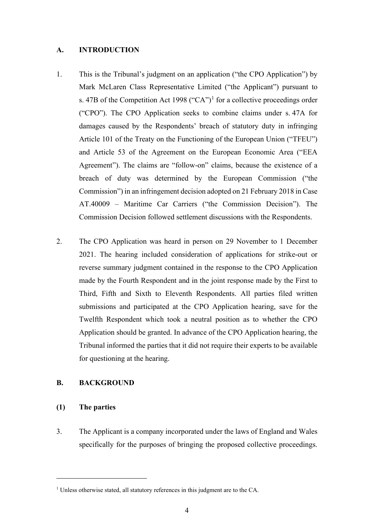### **A. INTRODUCTION**

- 1. This is the Tribunal's judgment on an application ("the CPO Application") by Mark McLaren Class Representative Limited ("the Applicant") pursuant to s. 47B of the Competition Act 1998 ("CA")<sup>1</sup> for a collective proceedings order ("CPO"). The CPO Application seeks to combine claims under s. 47A for damages caused by the Respondents' breach of statutory duty in infringing Article 101 of the Treaty on the Functioning of the European Union ("TFEU") and Article 53 of the Agreement on the European Economic Area ("EEA Agreement"). The claims are "follow-on" claims, because the existence of a breach of duty was determined by the European Commission ("the Commission") in an infringement decision adopted on 21 February 2018 in Case AT.40009 – Maritime Car Carriers ("the Commission Decision"). The Commission Decision followed settlement discussions with the Respondents.
- 2. The CPO Application was heard in person on 29 November to 1 December 2021. The hearing included consideration of applications for strike-out or reverse summary judgment contained in the response to the CPO Application made by the Fourth Respondent and in the joint response made by the First to Third, Fifth and Sixth to Eleventh Respondents. All parties filed written submissions and participated at the CPO Application hearing, save for the Twelfth Respondent which took a neutral position as to whether the CPO Application should be granted. In advance of the CPO Application hearing, the Tribunal informed the parties that it did not require their experts to be available for questioning at the hearing.

### **B. BACKGROUND**

# **(1) The parties**

3. The Applicant is a company incorporated under the laws of England and Wales specifically for the purposes of bringing the proposed collective proceedings.

<sup>&</sup>lt;sup>1</sup> Unless otherwise stated, all statutory references in this judgment are to the CA.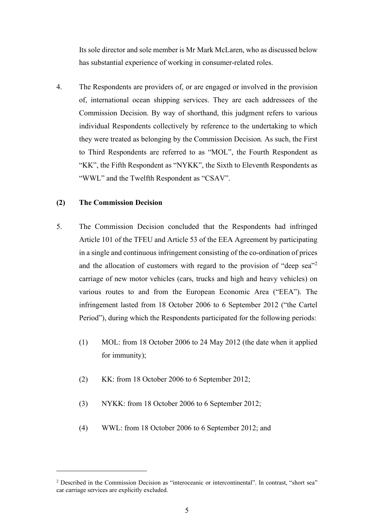Its sole director and sole member is Mr Mark McLaren, who as discussed below has substantial experience of working in consumer-related roles.

4. The Respondents are providers of, or are engaged or involved in the provision of, international ocean shipping services. They are each addressees of the Commission Decision. By way of shorthand, this judgment refers to various individual Respondents collectively by reference to the undertaking to which they were treated as belonging by the Commission Decision. As such, the First to Third Respondents are referred to as "MOL", the Fourth Respondent as "KK", the Fifth Respondent as "NYKK", the Sixth to Eleventh Respondents as "WWL" and the Twelfth Respondent as "CSAV".

### **(2) The Commission Decision**

- 5. The Commission Decision concluded that the Respondents had infringed Article 101 of the TFEU and Article 53 of the EEA Agreement by participating in a single and continuous infringement consisting of the co-ordination of prices and the allocation of customers with regard to the provision of "deep sea"<sup>2</sup> carriage of new motor vehicles (cars, trucks and high and heavy vehicles) on various routes to and from the European Economic Area ("EEA"). The infringement lasted from 18 October 2006 to 6 September 2012 ("the Cartel Period"), during which the Respondents participated for the following periods:
	- (1) MOL: from 18 October 2006 to 24 May 2012 (the date when it applied for immunity);
	- (2) KK: from 18 October 2006 to 6 September 2012;
	- (3) NYKK: from 18 October 2006 to 6 September 2012;
	- (4) WWL: from 18 October 2006 to 6 September 2012; and

<sup>&</sup>lt;sup>2</sup> Described in the Commission Decision as "interoceanic or intercontinental". In contrast, "short sea" car carriage services are explicitly excluded.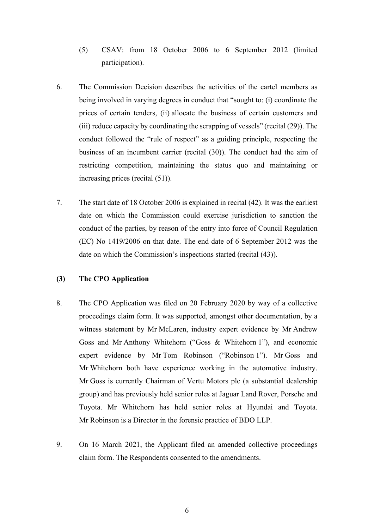- (5) CSAV: from 18 October 2006 to 6 September 2012 (limited participation).
- 6. The Commission Decision describes the activities of the cartel members as being involved in varying degrees in conduct that "sought to: (i) coordinate the prices of certain tenders, (ii) allocate the business of certain customers and (iii) reduce capacity by coordinating the scrapping of vessels" (recital (29)). The conduct followed the "rule of respect" as a guiding principle, respecting the business of an incumbent carrier (recital (30)). The conduct had the aim of restricting competition, maintaining the status quo and maintaining or increasing prices (recital (51)).
- 7. The start date of 18 October 2006 is explained in recital (42). It was the earliest date on which the Commission could exercise jurisdiction to sanction the conduct of the parties, by reason of the entry into force of Council Regulation (EC) No 1419/2006 on that date. The end date of 6 September 2012 was the date on which the Commission's inspections started (recital (43)).

# **(3) The CPO Application**

- 8. The CPO Application was filed on 20 February 2020 by way of a collective proceedings claim form. It was supported, amongst other documentation, by a witness statement by Mr McLaren, industry expert evidence by Mr Andrew Goss and Mr Anthony Whitehorn ("Goss & Whitehorn 1"), and economic expert evidence by Mr Tom Robinson ("Robinson 1"). Mr Goss and Mr Whitehorn both have experience working in the automotive industry. Mr Goss is currently Chairman of Vertu Motors plc (a substantial dealership group) and has previously held senior roles at Jaguar Land Rover, Porsche and Toyota. Mr Whitehorn has held senior roles at Hyundai and Toyota. Mr Robinson is a Director in the forensic practice of BDO LLP.
- 9. On 16 March 2021, the Applicant filed an amended collective proceedings claim form. The Respondents consented to the amendments.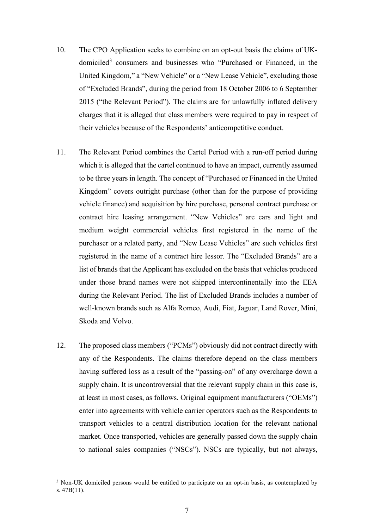- 10. The CPO Application seeks to combine on an opt-out basis the claims of UKdomiciled<sup>3</sup> consumers and businesses who "Purchased or Financed, in the United Kingdom," a "New Vehicle" or a "New Lease Vehicle", excluding those of "Excluded Brands", during the period from 18 October 2006 to 6 September 2015 ("the Relevant Period"). The claims are for unlawfully inflated delivery charges that it is alleged that class members were required to pay in respect of their vehicles because of the Respondents' anticompetitive conduct.
- 11. The Relevant Period combines the Cartel Period with a run-off period during which it is alleged that the cartel continued to have an impact, currently assumed to be three years in length. The concept of "Purchased or Financed in the United Kingdom" covers outright purchase (other than for the purpose of providing vehicle finance) and acquisition by hire purchase, personal contract purchase or contract hire leasing arrangement. "New Vehicles" are cars and light and medium weight commercial vehicles first registered in the name of the purchaser or a related party, and "New Lease Vehicles" are such vehicles first registered in the name of a contract hire lessor. The "Excluded Brands" are a list of brands that the Applicant has excluded on the basis that vehicles produced under those brand names were not shipped intercontinentally into the EEA during the Relevant Period. The list of Excluded Brands includes a number of well-known brands such as Alfa Romeo, Audi, Fiat, Jaguar, Land Rover, Mini, Skoda and Volvo.
- 12. The proposed class members ("PCMs") obviously did not contract directly with any of the Respondents. The claims therefore depend on the class members having suffered loss as a result of the "passing-on" of any overcharge down a supply chain. It is uncontroversial that the relevant supply chain in this case is, at least in most cases, as follows. Original equipment manufacturers ("OEMs") enter into agreements with vehicle carrier operators such as the Respondents to transport vehicles to a central distribution location for the relevant national market. Once transported, vehicles are generally passed down the supply chain to national sales companies ("NSCs"). NSCs are typically, but not always,

<sup>&</sup>lt;sup>3</sup> Non-UK domiciled persons would be entitled to participate on an opt-in basis, as contemplated by s. 47B(11).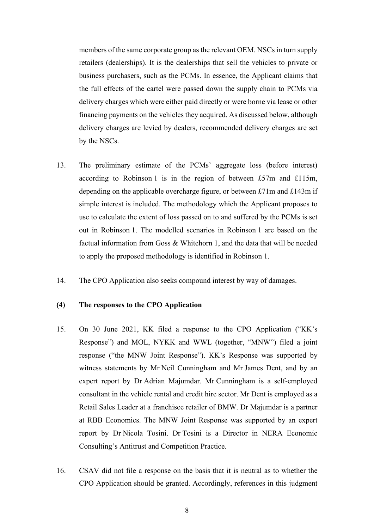members of the same corporate group as the relevant OEM. NSCs in turn supply retailers (dealerships). It is the dealerships that sell the vehicles to private or business purchasers, such as the PCMs. In essence, the Applicant claims that the full effects of the cartel were passed down the supply chain to PCMs via delivery charges which were either paid directly or were borne via lease or other financing payments on the vehicles they acquired. As discussed below, although delivery charges are levied by dealers, recommended delivery charges are set by the NSCs.

- 13. The preliminary estimate of the PCMs' aggregate loss (before interest) according to Robinson 1 is in the region of between £57m and £115m, depending on the applicable overcharge figure, or between £71m and £143m if simple interest is included. The methodology which the Applicant proposes to use to calculate the extent of loss passed on to and suffered by the PCMs is set out in Robinson 1. The modelled scenarios in Robinson 1 are based on the factual information from Goss & Whitehorn 1, and the data that will be needed to apply the proposed methodology is identified in Robinson 1.
- 14. The CPO Application also seeks compound interest by way of damages.

## **(4) The responses to the CPO Application**

- 15. On 30 June 2021, KK filed a response to the CPO Application ("KK's Response") and MOL, NYKK and WWL (together, "MNW") filed a joint response ("the MNW Joint Response"). KK's Response was supported by witness statements by Mr Neil Cunningham and Mr James Dent, and by an expert report by Dr Adrian Majumdar. Mr Cunningham is a self-employed consultant in the vehicle rental and credit hire sector. Mr Dent is employed as a Retail Sales Leader at a franchisee retailer of BMW. Dr Majumdar is a partner at RBB Economics. The MNW Joint Response was supported by an expert report by Dr Nicola Tosini. Dr Tosini is a Director in NERA Economic Consulting's Antitrust and Competition Practice.
- 16. CSAV did not file a response on the basis that it is neutral as to whether the CPO Application should be granted. Accordingly, references in this judgment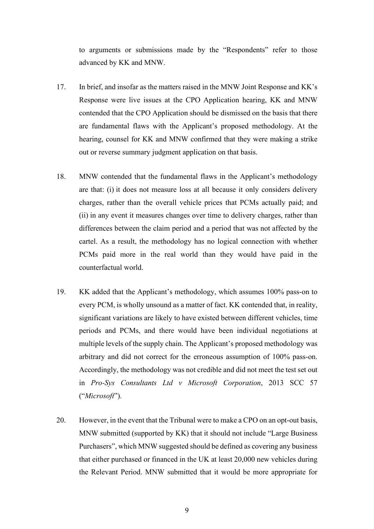to arguments or submissions made by the "Respondents" refer to those advanced by KK and MNW.

- 17. In brief, and insofar as the matters raised in the MNW Joint Response and KK's Response were live issues at the CPO Application hearing, KK and MNW contended that the CPO Application should be dismissed on the basis that there are fundamental flaws with the Applicant's proposed methodology. At the hearing, counsel for KK and MNW confirmed that they were making a strike out or reverse summary judgment application on that basis.
- 18. MNW contended that the fundamental flaws in the Applicant's methodology are that: (i) it does not measure loss at all because it only considers delivery charges, rather than the overall vehicle prices that PCMs actually paid; and (ii) in any event it measures changes over time to delivery charges, rather than differences between the claim period and a period that was not affected by the cartel. As a result, the methodology has no logical connection with whether PCMs paid more in the real world than they would have paid in the counterfactual world.
- 19. KK added that the Applicant's methodology, which assumes 100% pass-on to every PCM, is wholly unsound as a matter of fact. KK contended that, in reality, significant variations are likely to have existed between different vehicles, time periods and PCMs, and there would have been individual negotiations at multiple levels of the supply chain. The Applicant's proposed methodology was arbitrary and did not correct for the erroneous assumption of 100% pass-on. Accordingly, the methodology was not credible and did not meet the test set out in *Pro-Sys Consultants Ltd v Microsoft Corporation*, 2013 SCC 57 ("*Microsoft*").
- 20. However, in the event that the Tribunal were to make a CPO on an opt-out basis, MNW submitted (supported by KK) that it should not include "Large Business Purchasers", which MNW suggested should be defined as covering any business that either purchased or financed in the UK at least 20,000 new vehicles during the Relevant Period. MNW submitted that it would be more appropriate for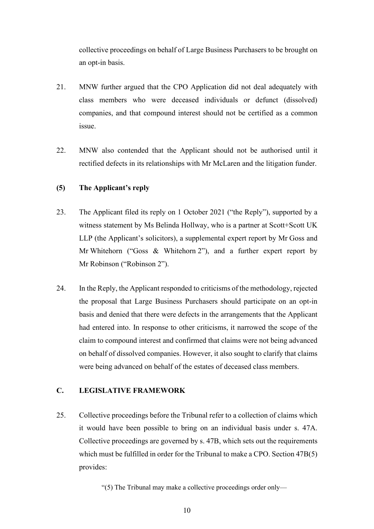collective proceedings on behalf of Large Business Purchasers to be brought on an opt-in basis.

- 21. MNW further argued that the CPO Application did not deal adequately with class members who were deceased individuals or defunct (dissolved) companies, and that compound interest should not be certified as a common issue.
- 22. MNW also contended that the Applicant should not be authorised until it rectified defects in its relationships with Mr McLaren and the litigation funder.

# **(5) The Applicant's reply**

- 23. The Applicant filed its reply on 1 October 2021 ("the Reply"), supported by a witness statement by Ms Belinda Hollway, who is a partner at Scott+Scott UK LLP (the Applicant's solicitors), a supplemental expert report by Mr Goss and Mr Whitehorn ("Goss & Whitehorn 2"), and a further expert report by Mr Robinson ("Robinson 2").
- 24. In the Reply, the Applicant responded to criticisms of the methodology, rejected the proposal that Large Business Purchasers should participate on an opt-in basis and denied that there were defects in the arrangements that the Applicant had entered into. In response to other criticisms, it narrowed the scope of the claim to compound interest and confirmed that claims were not being advanced on behalf of dissolved companies. However, it also sought to clarify that claims were being advanced on behalf of the estates of deceased class members.

# **C. LEGISLATIVE FRAMEWORK**

25. Collective proceedings before the Tribunal refer to a collection of claims which it would have been possible to bring on an individual basis under s. 47A. Collective proceedings are governed by s. 47B, which sets out the requirements which must be fulfilled in order for the Tribunal to make a CPO. Section 47B(5) provides:

"(5) The Tribunal may make a collective proceedings order only—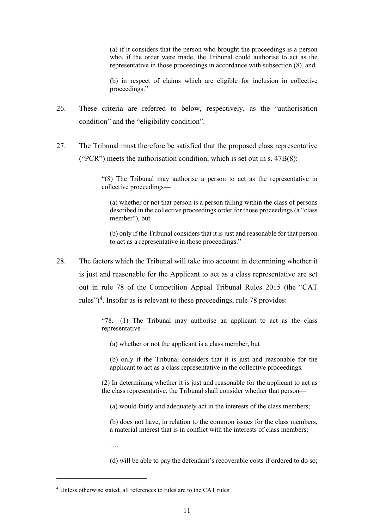(a) if it considers that the person who brought the proceedings is a person who, if the order were made, the Tribunal could authorise to act as the representative in those proceedings in accordance with subsection (8), and

(b) in respect of claims which are eligible for inclusion in collective proceedings."

- 26. These criteria are referred to below, respectively, as the "authorisation condition" and the "eligibility condition".
- 27. The Tribunal must therefore be satisfied that the proposed class representative ("PCR") meets the authorisation condition, which is set out in s. 47B(8):

"(8) The Tribunal may authorise a person to act as the representative in collective proceedings—

(a) whether or not that person is a person falling within the class of persons described in the collective proceedings order for those proceedings (a "class member"), but

(b) only if the Tribunal considers that it is just and reasonable for that person to act as a representative in those proceedings."

28. The factors which the Tribunal will take into account in determining whether it is just and reasonable for the Applicant to act as a class representative are set out in rule 78 of the Competition Appeal Tribunal Rules 2015 (the "CAT rules")<sup>4</sup>. Insofar as is relevant to these proceedings, rule 78 provides:

> " $78$ — $(1)$  The Tribunal may authorise an applicant to act as the class representative—

(a) whether or not the applicant is a class member, but

(b) only if the Tribunal considers that it is just and reasonable for the applicant to act as a class representative in the collective proceedings.

(2) In determining whether it is just and reasonable for the applicant to act as the class representative, the Tribunal shall consider whether that person—

(a) would fairly and adequately act in the interests of the class members;

(b) does not have, in relation to the common issues for the class members, a material interest that is in conflict with the interests of class members;

….

(d) will be able to pay the defendant's recoverable costs if ordered to do so;

<sup>4</sup> Unless otherwise stated, all references to rules are to the CAT rules.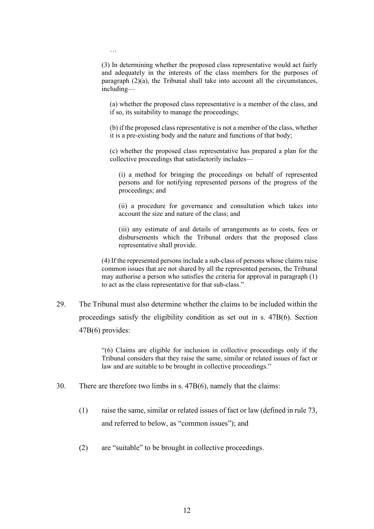(3) In determining whether the proposed class representative would act fairly and adequately in the interests of the class members for the purposes of paragraph  $(2)(a)$ , the Tribunal shall take into account all the circumstances, including—

…

(a) whether the proposed class representative is a member of the class, and if so, its suitability to manage the proceedings;

(b) if the proposed class representative is not a member of the class, whether it is a pre-existing body and the nature and functions of that body;

(c) whether the proposed class representative has prepared a plan for the collective proceedings that satisfactorily includes—

(i) a method for bringing the proceedings on behalf of represented persons and for notifying represented persons of the progress of the proceedings; and

(ii) a procedure for governance and consultation which takes into account the size and nature of the class; and

(iii) any estimate of and details of arrangements as to costs, fees or disbursements which the Tribunal orders that the proposed class representative shall provide.

(4) If the represented persons include a sub-class of persons whose claims raise common issues that are not shared by all the represented persons, the Tribunal may authorise a person who satisfies the criteria for approval in paragraph (1) to act as the class representative for that sub-class."

29. The Tribunal must also determine whether the claims to be included within the proceedings satisfy the eligibility condition as set out in s. 47B(6). Section 47B(6) provides:

> "(6) Claims are eligible for inclusion in collective proceedings only if the Tribunal considers that they raise the same, similar or related issues of fact or law and are suitable to be brought in collective proceedings."

- 30. There are therefore two limbs in s. 47B(6), namely that the claims:
	- (1) raise the same, similar or related issues of fact or law (defined in rule 73, and referred to below, as "common issues"); and
	- (2) are "suitable" to be brought in collective proceedings.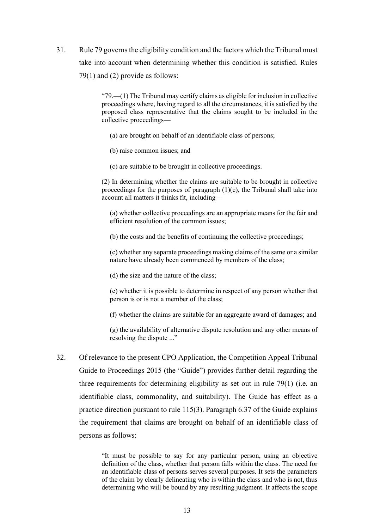31. Rule 79 governs the eligibility condition and the factors which the Tribunal must take into account when determining whether this condition is satisfied. Rules 79(1) and (2) provide as follows:

> " $79$ .—(1) The Tribunal may certify claims as eligible for inclusion in collective proceedings where, having regard to all the circumstances, it is satisfied by the proposed class representative that the claims sought to be included in the collective proceedings—

- (a) are brought on behalf of an identifiable class of persons;
- (b) raise common issues; and
- (c) are suitable to be brought in collective proceedings.

(2) In determining whether the claims are suitable to be brought in collective proceedings for the purposes of paragraph  $(1)(c)$ , the Tribunal shall take into account all matters it thinks fit, including—

(a) whether collective proceedings are an appropriate means for the fair and efficient resolution of the common issues;

(b) the costs and the benefits of continuing the collective proceedings;

(c) whether any separate proceedings making claims of the same or a similar nature have already been commenced by members of the class;

(d) the size and the nature of the class;

(e) whether it is possible to determine in respect of any person whether that person is or is not a member of the class;

(f) whether the claims are suitable for an aggregate award of damages; and

(g) the availability of alternative dispute resolution and any other means of resolving the dispute ..."

32. Of relevance to the present CPO Application, the Competition Appeal Tribunal Guide to Proceedings 2015 (the "Guide") provides further detail regarding the three requirements for determining eligibility as set out in rule 79(1) (i.e. an identifiable class, commonality, and suitability). The Guide has effect as a practice direction pursuant to rule 115(3). Paragraph 6.37 of the Guide explains the requirement that claims are brought on behalf of an identifiable class of persons as follows:

> "It must be possible to say for any particular person, using an objective definition of the class, whether that person falls within the class. The need for an identifiable class of persons serves several purposes. It sets the parameters of the claim by clearly delineating who is within the class and who is not, thus determining who will be bound by any resulting judgment. It affects the scope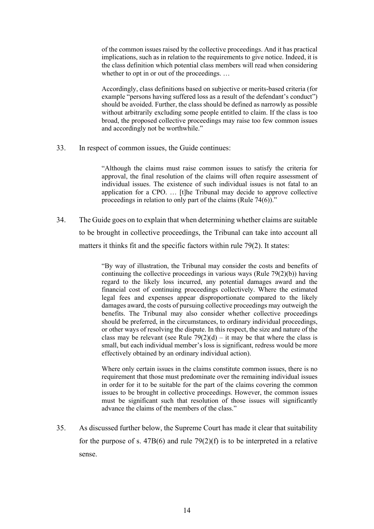of the common issues raised by the collective proceedings. And it has practical implications, such as in relation to the requirements to give notice. Indeed, it is the class definition which potential class members will read when considering whether to opt in or out of the proceedings. ...

Accordingly, class definitions based on subjective or merits-based criteria (for example "persons having suffered loss as a result of the defendant's conduct") should be avoided. Further, the class should be defined as narrowly as possible without arbitrarily excluding some people entitled to claim. If the class is too broad, the proposed collective proceedings may raise too few common issues and accordingly not be worthwhile."

33. In respect of common issues, the Guide continues:

"Although the claims must raise common issues to satisfy the criteria for approval, the final resolution of the claims will often require assessment of individual issues. The existence of such individual issues is not fatal to an application for a CPO. … [t]he Tribunal may decide to approve collective proceedings in relation to only part of the claims (Rule 74(6))."

34. The Guide goes on to explain that when determining whether claims are suitable to be brought in collective proceedings, the Tribunal can take into account all matters it thinks fit and the specific factors within rule 79(2). It states:

> "By way of illustration, the Tribunal may consider the costs and benefits of continuing the collective proceedings in various ways (Rule 79(2)(b)) having regard to the likely loss incurred, any potential damages award and the financial cost of continuing proceedings collectively. Where the estimated legal fees and expenses appear disproportionate compared to the likely damages award, the costs of pursuing collective proceedings may outweigh the benefits. The Tribunal may also consider whether collective proceedings should be preferred, in the circumstances, to ordinary individual proceedings, or other ways of resolving the dispute. In this respect, the size and nature of the class may be relevant (see Rule  $79(2)(d) - it$  may be that where the class is small, but each individual member's loss is significant, redress would be more effectively obtained by an ordinary individual action).

> Where only certain issues in the claims constitute common issues, there is no requirement that those must predominate over the remaining individual issues in order for it to be suitable for the part of the claims covering the common issues to be brought in collective proceedings. However, the common issues must be significant such that resolution of those issues will significantly advance the claims of the members of the class."

35. As discussed further below, the Supreme Court has made it clear that suitability for the purpose of s.  $47B(6)$  and rule  $79(2)(f)$  is to be interpreted in a relative sense.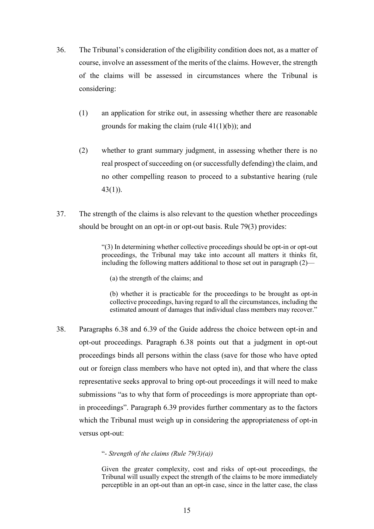- 36. The Tribunal's consideration of the eligibility condition does not, as a matter of course, involve an assessment of the merits of the claims. However, the strength of the claims will be assessed in circumstances where the Tribunal is considering:
	- (1) an application for strike out, in assessing whether there are reasonable grounds for making the claim (rule  $41(1)(b)$ ); and
	- (2) whether to grant summary judgment, in assessing whether there is no real prospect of succeeding on (or successfully defending) the claim, and no other compelling reason to proceed to a substantive hearing (rule 43(1)).
- 37. The strength of the claims is also relevant to the question whether proceedings should be brought on an opt-in or opt-out basis. Rule 79(3) provides:

"(3) In determining whether collective proceedings should be opt-in or opt-out proceedings, the Tribunal may take into account all matters it thinks fit, including the following matters additional to those set out in paragraph (2)—

(a) the strength of the claims; and

(b) whether it is practicable for the proceedings to be brought as opt-in collective proceedings, having regard to all the circumstances, including the estimated amount of damages that individual class members may recover."

38. Paragraphs 6.38 and 6.39 of the Guide address the choice between opt-in and opt-out proceedings. Paragraph 6.38 points out that a judgment in opt-out proceedings binds all persons within the class (save for those who have opted out or foreign class members who have not opted in), and that where the class representative seeks approval to bring opt-out proceedings it will need to make submissions "as to why that form of proceedings is more appropriate than optin proceedings". Paragraph 6.39 provides further commentary as to the factors which the Tribunal must weigh up in considering the appropriateness of opt-in versus opt-out:

#### "*- Strength of the claims (Rule 79(3)(a))*

Given the greater complexity, cost and risks of opt-out proceedings, the Tribunal will usually expect the strength of the claims to be more immediately perceptible in an opt-out than an opt-in case, since in the latter case, the class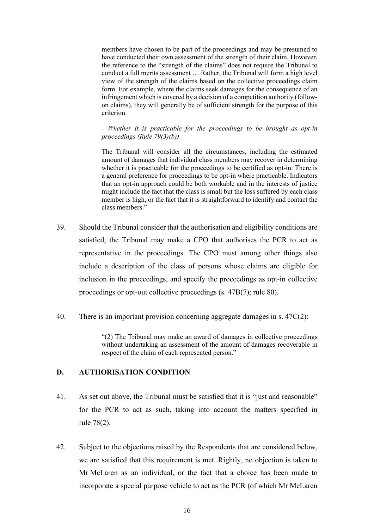members have chosen to be part of the proceedings and may be presumed to have conducted their own assessment of the strength of their claim. However, the reference to the "strength of the claims" does not require the Tribunal to conduct a full merits assessment … Rather, the Tribunal will form a high level view of the strength of the claims based on the collective proceedings claim form. For example, where the claims seek damages for the consequence of an infringement which is covered by a decision of a competition authority (followon claims), they will generally be of sufficient strength for the purpose of this criterion.

*- Whether it is practicable for the proceedings to be brought as opt-in proceedings (Rule 79(3)(b))*

The Tribunal will consider all the circumstances, including the estimated amount of damages that individual class members may recover in determining whether it is practicable for the proceedings to be certified as opt-in. There is a general preference for proceedings to be opt-in where practicable. Indicators that an opt-in approach could be both workable and in the interests of justice might include the fact that the class is small but the loss suffered by each class member is high, or the fact that it is straightforward to identify and contact the class members."

- 39. Should the Tribunal consider that the authorisation and eligibility conditions are satisfied, the Tribunal may make a CPO that authorises the PCR to act as representative in the proceedings. The CPO must among other things also include a description of the class of persons whose claims are eligible for inclusion in the proceedings, and specify the proceedings as opt-in collective proceedings or opt-out collective proceedings (s. 47B(7); rule 80).
- 40. There is an important provision concerning aggregate damages in s. 47C(2):

"(2) The Tribunal may make an award of damages in collective proceedings without undertaking an assessment of the amount of damages recoverable in respect of the claim of each represented person."

# **D. AUTHORISATION CONDITION**

- 41. As set out above, the Tribunal must be satisfied that it is "just and reasonable" for the PCR to act as such, taking into account the matters specified in rule 78(2).
- 42. Subject to the objections raised by the Respondents that are considered below, we are satisfied that this requirement is met. Rightly, no objection is taken to Mr McLaren as an individual, or the fact that a choice has been made to incorporate a special purpose vehicle to act as the PCR (of which Mr McLaren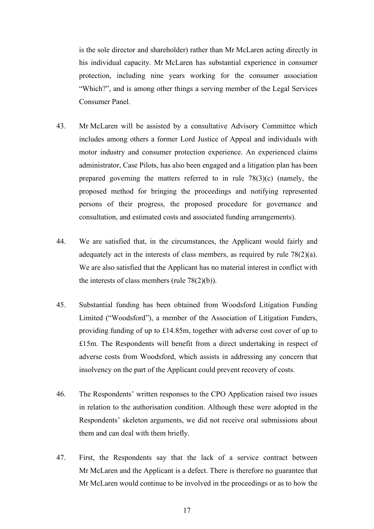is the sole director and shareholder) rather than Mr McLaren acting directly in his individual capacity. Mr McLaren has substantial experience in consumer protection, including nine years working for the consumer association "Which?", and is among other things a serving member of the Legal Services Consumer Panel.

- 43. Mr McLaren will be assisted by a consultative Advisory Committee which includes among others a former Lord Justice of Appeal and individuals with motor industry and consumer protection experience. An experienced claims administrator, Case Pilots, has also been engaged and a litigation plan has been prepared governing the matters referred to in rule  $78(3)(c)$  (namely, the proposed method for bringing the proceedings and notifying represented persons of their progress, the proposed procedure for governance and consultation, and estimated costs and associated funding arrangements).
- 44. We are satisfied that, in the circumstances, the Applicant would fairly and adequately act in the interests of class members, as required by rule 78(2)(a). We are also satisfied that the Applicant has no material interest in conflict with the interests of class members (rule 78(2)(b)).
- 45. Substantial funding has been obtained from Woodsford Litigation Funding Limited ("Woodsford"), a member of the Association of Litigation Funders, providing funding of up to £14.85m, together with adverse cost cover of up to £15m. The Respondents will benefit from a direct undertaking in respect of adverse costs from Woodsford, which assists in addressing any concern that insolvency on the part of the Applicant could prevent recovery of costs.
- 46. The Respondents' written responses to the CPO Application raised two issues in relation to the authorisation condition. Although these were adopted in the Respondents' skeleton arguments, we did not receive oral submissions about them and can deal with them briefly.
- 47. First, the Respondents say that the lack of a service contract between Mr McLaren and the Applicant is a defect. There is therefore no guarantee that Mr McLaren would continue to be involved in the proceedings or as to how the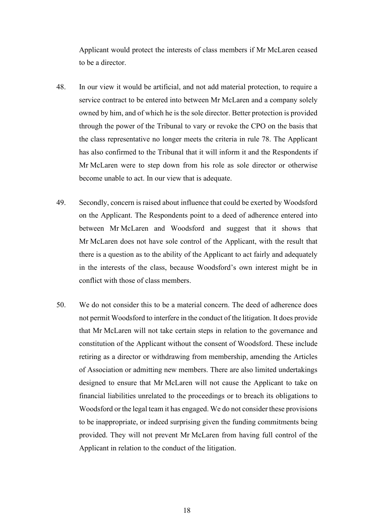Applicant would protect the interests of class members if Mr McLaren ceased to be a director.

- 48. In our view it would be artificial, and not add material protection, to require a service contract to be entered into between Mr McLaren and a company solely owned by him, and of which he is the sole director. Better protection is provided through the power of the Tribunal to vary or revoke the CPO on the basis that the class representative no longer meets the criteria in rule 78. The Applicant has also confirmed to the Tribunal that it will inform it and the Respondents if Mr McLaren were to step down from his role as sole director or otherwise become unable to act. In our view that is adequate.
- 49. Secondly, concern is raised about influence that could be exerted by Woodsford on the Applicant. The Respondents point to a deed of adherence entered into between Mr McLaren and Woodsford and suggest that it shows that Mr McLaren does not have sole control of the Applicant, with the result that there is a question as to the ability of the Applicant to act fairly and adequately in the interests of the class, because Woodsford's own interest might be in conflict with those of class members.
- 50. We do not consider this to be a material concern. The deed of adherence does not permit Woodsford to interfere in the conduct of the litigation. It does provide that Mr McLaren will not take certain steps in relation to the governance and constitution of the Applicant without the consent of Woodsford. These include retiring as a director or withdrawing from membership, amending the Articles of Association or admitting new members. There are also limited undertakings designed to ensure that Mr McLaren will not cause the Applicant to take on financial liabilities unrelated to the proceedings or to breach its obligations to Woodsford or the legal team it has engaged. We do not consider these provisions to be inappropriate, or indeed surprising given the funding commitments being provided. They will not prevent Mr McLaren from having full control of the Applicant in relation to the conduct of the litigation.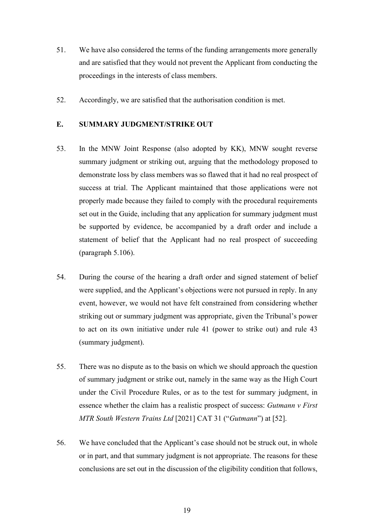- 51. We have also considered the terms of the funding arrangements more generally and are satisfied that they would not prevent the Applicant from conducting the proceedings in the interests of class members.
- 52. Accordingly, we are satisfied that the authorisation condition is met.

# **E. SUMMARY JUDGMENT/STRIKE OUT**

- 53. In the MNW Joint Response (also adopted by KK), MNW sought reverse summary judgment or striking out, arguing that the methodology proposed to demonstrate loss by class members was so flawed that it had no real prospect of success at trial. The Applicant maintained that those applications were not properly made because they failed to comply with the procedural requirements set out in the Guide, including that any application for summary judgment must be supported by evidence, be accompanied by a draft order and include a statement of belief that the Applicant had no real prospect of succeeding (paragraph 5.106).
- 54. During the course of the hearing a draft order and signed statement of belief were supplied, and the Applicant's objections were not pursued in reply. In any event, however, we would not have felt constrained from considering whether striking out or summary judgment was appropriate, given the Tribunal's power to act on its own initiative under rule 41 (power to strike out) and rule 43 (summary judgment).
- 55. There was no dispute as to the basis on which we should approach the question of summary judgment or strike out, namely in the same way as the High Court under the Civil Procedure Rules, or as to the test for summary judgment, in essence whether the claim has a realistic prospect of success: *Gutmann v First MTR South Western Trains Ltd* [2021] CAT 31 ("*Gutmann*") at [52].
- 56. We have concluded that the Applicant's case should not be struck out, in whole or in part, and that summary judgment is not appropriate. The reasons for these conclusions are set out in the discussion of the eligibility condition that follows,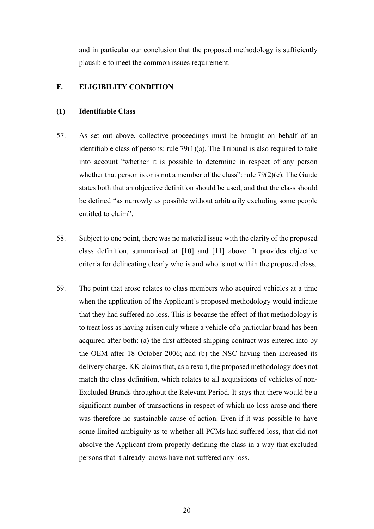and in particular our conclusion that the proposed methodology is sufficiently plausible to meet the common issues requirement.

# **F. ELIGIBILITY CONDITION**

### **(1) Identifiable Class**

- 57. As set out above, collective proceedings must be brought on behalf of an identifiable class of persons: rule  $79(1)(a)$ . The Tribunal is also required to take into account "whether it is possible to determine in respect of any person whether that person is or is not a member of the class": rule 79(2)(e). The Guide states both that an objective definition should be used, and that the class should be defined "as narrowly as possible without arbitrarily excluding some people entitled to claim".
- 58. Subject to one point, there was no material issue with the clarity of the proposed class definition, summarised at [10] and [11] above. It provides objective criteria for delineating clearly who is and who is not within the proposed class.
- 59. The point that arose relates to class members who acquired vehicles at a time when the application of the Applicant's proposed methodology would indicate that they had suffered no loss. This is because the effect of that methodology is to treat loss as having arisen only where a vehicle of a particular brand has been acquired after both: (a) the first affected shipping contract was entered into by the OEM after 18 October 2006; and (b) the NSC having then increased its delivery charge. KK claims that, as a result, the proposed methodology does not match the class definition, which relates to all acquisitions of vehicles of non-Excluded Brands throughout the Relevant Period. It says that there would be a significant number of transactions in respect of which no loss arose and there was therefore no sustainable cause of action. Even if it was possible to have some limited ambiguity as to whether all PCMs had suffered loss, that did not absolve the Applicant from properly defining the class in a way that excluded persons that it already knows have not suffered any loss.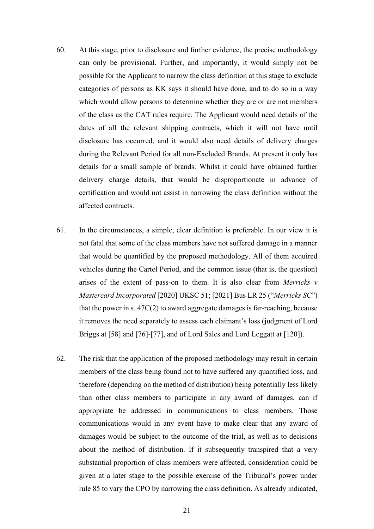- 60. At this stage, prior to disclosure and further evidence, the precise methodology can only be provisional. Further, and importantly, it would simply not be possible for the Applicant to narrow the class definition at this stage to exclude categories of persons as KK says it should have done, and to do so in a way which would allow persons to determine whether they are or are not members of the class as the CAT rules require. The Applicant would need details of the dates of all the relevant shipping contracts, which it will not have until disclosure has occurred, and it would also need details of delivery charges during the Relevant Period for all non-Excluded Brands. At present it only has details for a small sample of brands. Whilst it could have obtained further delivery charge details, that would be disproportionate in advance of certification and would not assist in narrowing the class definition without the affected contracts.
- 61. In the circumstances, a simple, clear definition is preferable. In our view it is not fatal that some of the class members have not suffered damage in a manner that would be quantified by the proposed methodology. All of them acquired vehicles during the Cartel Period, and the common issue (that is, the question) arises of the extent of pass-on to them. It is also clear from *Merricks v Mastercard Incorporated* [2020] UKSC 51; [2021] Bus LR 25 ("*Merricks SC*") that the power in s. 47C(2) to award aggregate damages is far-reaching, because it removes the need separately to assess each claimant's loss (judgment of Lord Briggs at [58] and [76]-[77], and of Lord Sales and Lord Leggatt at [120]).
- 62. The risk that the application of the proposed methodology may result in certain members of the class being found not to have suffered any quantified loss, and therefore (depending on the method of distribution) being potentially less likely than other class members to participate in any award of damages, can if appropriate be addressed in communications to class members. Those communications would in any event have to make clear that any award of damages would be subject to the outcome of the trial, as well as to decisions about the method of distribution. If it subsequently transpired that a very substantial proportion of class members were affected, consideration could be given at a later stage to the possible exercise of the Tribunal's power under rule 85 to vary the CPO by narrowing the class definition. As already indicated,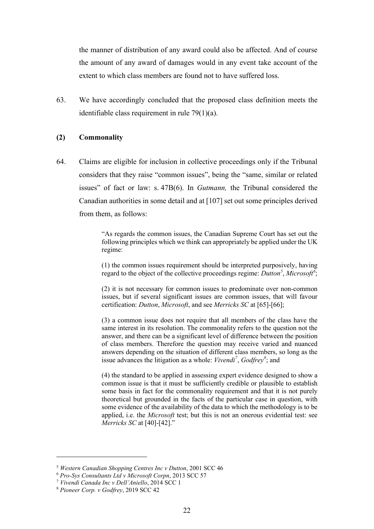the manner of distribution of any award could also be affected. And of course the amount of any award of damages would in any event take account of the extent to which class members are found not to have suffered loss.

63. We have accordingly concluded that the proposed class definition meets the identifiable class requirement in rule 79(1)(a).

### **(2) Commonality**

64. Claims are eligible for inclusion in collective proceedings only if the Tribunal considers that they raise "common issues", being the "same, similar or related issues" of fact or law: s. 47B(6). In *Gutmann,* the Tribunal considered the Canadian authorities in some detail and at [107] set out some principles derived from them, as follows:

> "As regards the common issues, the Canadian Supreme Court has set out the following principles which we think can appropriately be applied under the UK regime:

> (1) the common issues requirement should be interpreted purposively, having regard to the object of the collective proceedings regime: *Dutton<sup>5</sup>* , *Microsoft<sup>6</sup>* ;

> (2) it is not necessary for common issues to predominate over non-common issues, but if several significant issues are common issues, that will favour certification: *Dutton*, *Microsoft*, and see *Merricks SC* at [65]-[66];

> (3) a common issue does not require that all members of the class have the same interest in its resolution. The commonality refers to the question not the answer, and there can be a significant level of difference between the position of class members. Therefore the question may receive varied and nuanced answers depending on the situation of different class members, so long as the issue advances the litigation as a whole: *Vivendi<sup>7</sup>* , *Godfrey<sup>8</sup>* ; and

> (4) the standard to be applied in assessing expert evidence designed to show a common issue is that it must be sufficiently credible or plausible to establish some basis in fact for the commonality requirement and that it is not purely theoretical but grounded in the facts of the particular case in question, with some evidence of the availability of the data to which the methodology is to be applied, i.e. the *Microsoft* test; but this is not an onerous evidential test: see *Merricks SC* at [40]-[42]."

<sup>5</sup> *Western Canadian Shopping Centres Inc v Dutton*, 2001 SCC 46

<sup>6</sup> *Pro-Sys Consultants Ltd v Microsoft Corpn*, 2013 SCC 57

<sup>7</sup> *Vivendi Canada Inc v Dell'Aniello*, 2014 SCC 1

<sup>8</sup> *Pioneer Corp. v Godfrey*, 2019 SCC 42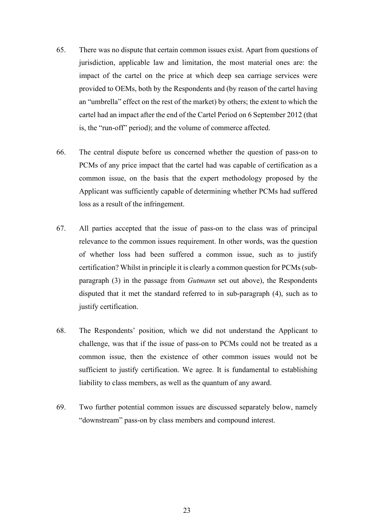- 65. There was no dispute that certain common issues exist. Apart from questions of jurisdiction, applicable law and limitation, the most material ones are: the impact of the cartel on the price at which deep sea carriage services were provided to OEMs, both by the Respondents and (by reason of the cartel having an "umbrella" effect on the rest of the market) by others; the extent to which the cartel had an impact after the end of the Cartel Period on 6 September 2012 (that is, the "run-off" period); and the volume of commerce affected.
- 66. The central dispute before us concerned whether the question of pass-on to PCMs of any price impact that the cartel had was capable of certification as a common issue, on the basis that the expert methodology proposed by the Applicant was sufficiently capable of determining whether PCMs had suffered loss as a result of the infringement.
- 67. All parties accepted that the issue of pass-on to the class was of principal relevance to the common issues requirement. In other words, was the question of whether loss had been suffered a common issue, such as to justify certification? Whilst in principle it is clearly a common question for PCMs (subparagraph (3) in the passage from *Gutmann* set out above), the Respondents disputed that it met the standard referred to in sub-paragraph (4), such as to justify certification.
- 68. The Respondents' position, which we did not understand the Applicant to challenge, was that if the issue of pass-on to PCMs could not be treated as a common issue, then the existence of other common issues would not be sufficient to justify certification. We agree. It is fundamental to establishing liability to class members, as well as the quantum of any award.
- 69. Two further potential common issues are discussed separately below, namely "downstream" pass-on by class members and compound interest.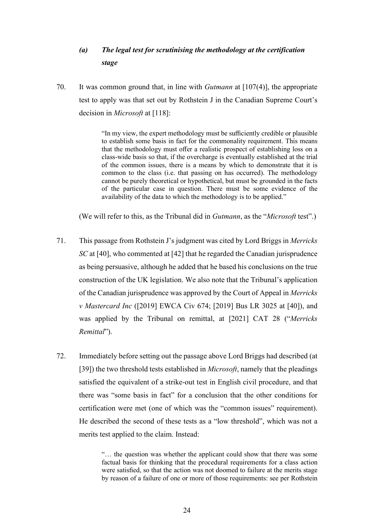# *(a) The legal test for scrutinising the methodology at the certification stage*

70. It was common ground that, in line with *Gutmann* at [107(4)], the appropriate test to apply was that set out by Rothstein J in the Canadian Supreme Court's decision in *Microsoft* at [118]:

> "In my view, the expert methodology must be sufficiently credible or plausible to establish some basis in fact for the commonality requirement. This means that the methodology must offer a realistic prospect of establishing loss on a class-wide basis so that, if the overcharge is eventually established at the trial of the common issues, there is a means by which to demonstrate that it is common to the class (i.e. that passing on has occurred). The methodology cannot be purely theoretical or hypothetical, but must be grounded in the facts of the particular case in question. There must be some evidence of the availability of the data to which the methodology is to be applied."

(We will refer to this, as the Tribunal did in *Gutmann*, as the "*Microsoft* test".)

- 71. This passage from Rothstein J's judgment was cited by Lord Briggs in *Merricks SC* at [40], who commented at [42] that he regarded the Canadian jurisprudence as being persuasive, although he added that he based his conclusions on the true construction of the UK legislation. We also note that the Tribunal's application of the Canadian jurisprudence was approved by the Court of Appeal in *Merricks v Mastercard Inc* ([2019] EWCA Civ 674; [2019] Bus LR 3025 at [40]), and was applied by the Tribunal on remittal, at [2021] CAT 28 ("*Merricks Remittal*").
- 72. Immediately before setting out the passage above Lord Briggs had described (at [39]) the two threshold tests established in *Microsoft*, namely that the pleadings satisfied the equivalent of a strike-out test in English civil procedure, and that there was "some basis in fact" for a conclusion that the other conditions for certification were met (one of which was the "common issues" requirement). He described the second of these tests as a "low threshold", which was not a merits test applied to the claim. Instead:

"… the question was whether the applicant could show that there was some factual basis for thinking that the procedural requirements for a class action were satisfied, so that the action was not doomed to failure at the merits stage by reason of a failure of one or more of those requirements: see per Rothstein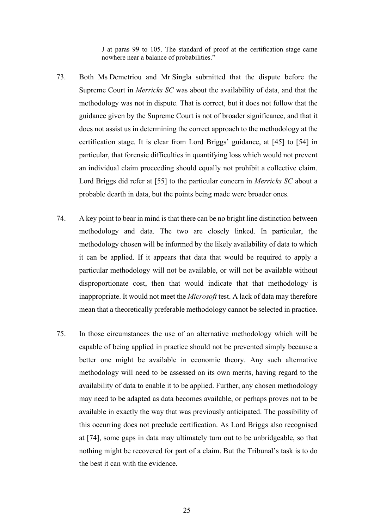J at paras 99 to 105. The standard of proof at the certification stage came nowhere near a balance of probabilities."

- 73. Both Ms Demetriou and Mr Singla submitted that the dispute before the Supreme Court in *Merricks SC* was about the availability of data, and that the methodology was not in dispute. That is correct, but it does not follow that the guidance given by the Supreme Court is not of broader significance, and that it does not assist us in determining the correct approach to the methodology at the certification stage. It is clear from Lord Briggs' guidance, at [45] to [54] in particular, that forensic difficulties in quantifying loss which would not prevent an individual claim proceeding should equally not prohibit a collective claim. Lord Briggs did refer at [55] to the particular concern in *Merricks SC* about a probable dearth in data, but the points being made were broader ones.
- 74. A key point to bear in mind is that there can be no bright line distinction between methodology and data. The two are closely linked. In particular, the methodology chosen will be informed by the likely availability of data to which it can be applied. If it appears that data that would be required to apply a particular methodology will not be available, or will not be available without disproportionate cost, then that would indicate that that methodology is inappropriate. It would not meet the *Microsoft* test. A lack of data may therefore mean that a theoretically preferable methodology cannot be selected in practice.
- 75. In those circumstances the use of an alternative methodology which will be capable of being applied in practice should not be prevented simply because a better one might be available in economic theory. Any such alternative methodology will need to be assessed on its own merits, having regard to the availability of data to enable it to be applied. Further, any chosen methodology may need to be adapted as data becomes available, or perhaps proves not to be available in exactly the way that was previously anticipated. The possibility of this occurring does not preclude certification. As Lord Briggs also recognised at [74], some gaps in data may ultimately turn out to be unbridgeable, so that nothing might be recovered for part of a claim. But the Tribunal's task is to do the best it can with the evidence.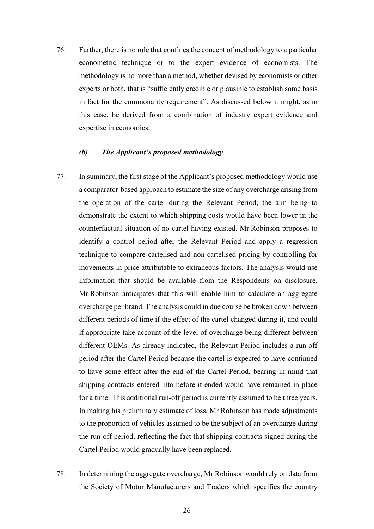76. Further, there is no rule that confines the concept of methodology to a particular econometric technique or to the expert evidence of economists. The methodology is no more than a method, whether devised by economists or other experts or both, that is "sufficiently credible or plausible to establish some basis in fact for the commonality requirement". As discussed below it might, as in this case, be derived from a combination of industry expert evidence and expertise in economics.

## *(b) The Applicant's proposed methodology*

- 77. In summary, the first stage of the Applicant's proposed methodology would use a comparator-based approach to estimate the size of any overcharge arising from the operation of the cartel during the Relevant Period, the aim being to demonstrate the extent to which shipping costs would have been lower in the counterfactual situation of no cartel having existed. Mr Robinson proposes to identify a control period after the Relevant Period and apply a regression technique to compare cartelised and non-cartelised pricing by controlling for movements in price attributable to extraneous factors*.* The analysis would use information that should be available from the Respondents on disclosure. Mr Robinson anticipates that this will enable him to calculate an aggregate overcharge per brand. The analysis could in due course be broken down between different periods of time if the effect of the cartel changed during it, and could if appropriate take account of the level of overcharge being different between different OEMs. As already indicated, the Relevant Period includes a run-off period after the Cartel Period because the cartel is expected to have continued to have some effect after the end of the Cartel Period, bearing in mind that shipping contracts entered into before it ended would have remained in place for a time. This additional run-off period is currently assumed to be three years. In making his preliminary estimate of loss, Mr Robinson has made adjustments to the proportion of vehicles assumed to be the subject of an overcharge during the run-off period, reflecting the fact that shipping contracts signed during the Cartel Period would gradually have been replaced.
- 78. In determining the aggregate overcharge, Mr Robinson would rely on data from the Society of Motor Manufacturers and Traders which specifies the country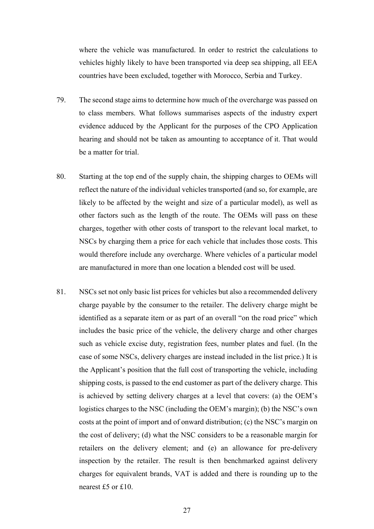where the vehicle was manufactured. In order to restrict the calculations to vehicles highly likely to have been transported via deep sea shipping, all EEA countries have been excluded, together with Morocco, Serbia and Turkey.

- 79. The second stage aims to determine how much of the overcharge was passed on to class members. What follows summarises aspects of the industry expert evidence adduced by the Applicant for the purposes of the CPO Application hearing and should not be taken as amounting to acceptance of it. That would be a matter for trial.
- 80. Starting at the top end of the supply chain, the shipping charges to OEMs will reflect the nature of the individual vehicles transported (and so, for example, are likely to be affected by the weight and size of a particular model), as well as other factors such as the length of the route. The OEMs will pass on these charges, together with other costs of transport to the relevant local market, to NSCs by charging them a price for each vehicle that includes those costs. This would therefore include any overcharge. Where vehicles of a particular model are manufactured in more than one location a blended cost will be used.
- 81. NSCs set not only basic list prices for vehicles but also a recommended delivery charge payable by the consumer to the retailer. The delivery charge might be identified as a separate item or as part of an overall "on the road price" which includes the basic price of the vehicle, the delivery charge and other charges such as vehicle excise duty, registration fees, number plates and fuel. (In the case of some NSCs, delivery charges are instead included in the list price.) It is the Applicant's position that the full cost of transporting the vehicle, including shipping costs, is passed to the end customer as part of the delivery charge. This is achieved by setting delivery charges at a level that covers: (a) the OEM's logistics charges to the NSC (including the OEM's margin); (b) the NSC's own costs at the point of import and of onward distribution; (c) the NSC's margin on the cost of delivery; (d) what the NSC considers to be a reasonable margin for retailers on the delivery element; and (e) an allowance for pre-delivery inspection by the retailer. The result is then benchmarked against delivery charges for equivalent brands, VAT is added and there is rounding up to the nearest £5 or £10.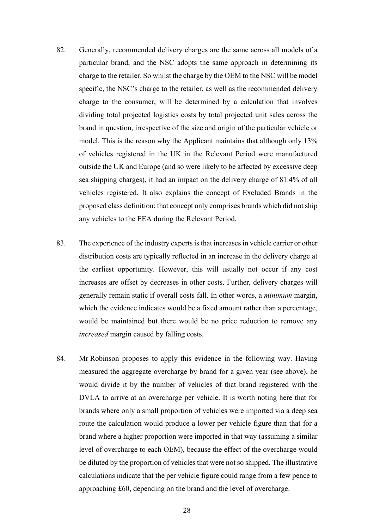- 82. Generally, recommended delivery charges are the same across all models of a particular brand, and the NSC adopts the same approach in determining its charge to the retailer. So whilst the charge by the OEM to the NSC will be model specific, the NSC's charge to the retailer, as well as the recommended delivery charge to the consumer, will be determined by a calculation that involves dividing total projected logistics costs by total projected unit sales across the brand in question, irrespective of the size and origin of the particular vehicle or model. This is the reason why the Applicant maintains that although only 13% of vehicles registered in the UK in the Relevant Period were manufactured outside the UK and Europe (and so were likely to be affected by excessive deep sea shipping charges), it had an impact on the delivery charge of 81.4% of all vehicles registered. It also explains the concept of Excluded Brands in the proposed class definition: that concept only comprises brands which did not ship any vehicles to the EEA during the Relevant Period.
- 83. The experience of the industry experts is that increases in vehicle carrier or other distribution costs are typically reflected in an increase in the delivery charge at the earliest opportunity. However, this will usually not occur if any cost increases are offset by decreases in other costs. Further, delivery charges will generally remain static if overall costs fall. In other words, a *minimum* margin, which the evidence indicates would be a fixed amount rather than a percentage, would be maintained but there would be no price reduction to remove any *increased* margin caused by falling costs.
- 84. Mr Robinson proposes to apply this evidence in the following way. Having measured the aggregate overcharge by brand for a given year (see above), he would divide it by the number of vehicles of that brand registered with the DVLA to arrive at an overcharge per vehicle. It is worth noting here that for brands where only a small proportion of vehicles were imported via a deep sea route the calculation would produce a lower per vehicle figure than that for a brand where a higher proportion were imported in that way (assuming a similar level of overcharge to each OEM), because the effect of the overcharge would be diluted by the proportion of vehicles that were not so shipped. The illustrative calculations indicate that the per vehicle figure could range from a few pence to approaching £60, depending on the brand and the level of overcharge.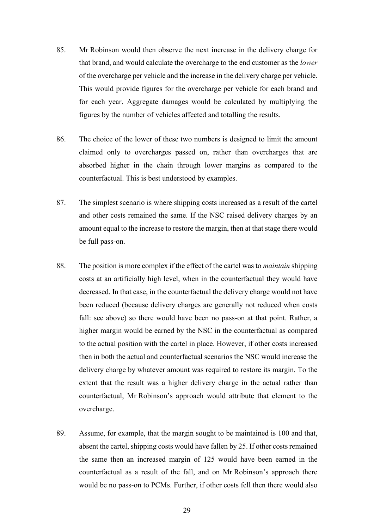- 85. Mr Robinson would then observe the next increase in the delivery charge for that brand, and would calculate the overcharge to the end customer as the *lower* of the overcharge per vehicle and the increase in the delivery charge per vehicle. This would provide figures for the overcharge per vehicle for each brand and for each year. Aggregate damages would be calculated by multiplying the figures by the number of vehicles affected and totalling the results.
- 86. The choice of the lower of these two numbers is designed to limit the amount claimed only to overcharges passed on, rather than overcharges that are absorbed higher in the chain through lower margins as compared to the counterfactual. This is best understood by examples.
- 87. The simplest scenario is where shipping costs increased as a result of the cartel and other costs remained the same. If the NSC raised delivery charges by an amount equal to the increase to restore the margin, then at that stage there would be full pass-on.
- 88. The position is more complex if the effect of the cartel was to *maintain* shipping costs at an artificially high level, when in the counterfactual they would have decreased. In that case, in the counterfactual the delivery charge would not have been reduced (because delivery charges are generally not reduced when costs fall: see above) so there would have been no pass-on at that point. Rather, a higher margin would be earned by the NSC in the counterfactual as compared to the actual position with the cartel in place. However, if other costs increased then in both the actual and counterfactual scenarios the NSC would increase the delivery charge by whatever amount was required to restore its margin. To the extent that the result was a higher delivery charge in the actual rather than counterfactual, Mr Robinson's approach would attribute that element to the overcharge.
- 89. Assume, for example, that the margin sought to be maintained is 100 and that, absent the cartel, shipping costs would have fallen by 25. If other costs remained the same then an increased margin of 125 would have been earned in the counterfactual as a result of the fall, and on Mr Robinson's approach there would be no pass-on to PCMs. Further, if other costs fell then there would also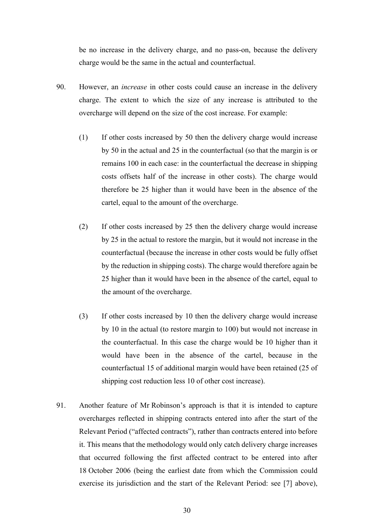be no increase in the delivery charge, and no pass-on, because the delivery charge would be the same in the actual and counterfactual.

- 90. However, an *increase* in other costs could cause an increase in the delivery charge. The extent to which the size of any increase is attributed to the overcharge will depend on the size of the cost increase. For example:
	- (1) If other costs increased by 50 then the delivery charge would increase by 50 in the actual and 25 in the counterfactual (so that the margin is or remains 100 in each case: in the counterfactual the decrease in shipping costs offsets half of the increase in other costs). The charge would therefore be 25 higher than it would have been in the absence of the cartel, equal to the amount of the overcharge.
	- (2) If other costs increased by 25 then the delivery charge would increase by 25 in the actual to restore the margin, but it would not increase in the counterfactual (because the increase in other costs would be fully offset by the reduction in shipping costs). The charge would therefore again be 25 higher than it would have been in the absence of the cartel, equal to the amount of the overcharge.
	- (3) If other costs increased by 10 then the delivery charge would increase by 10 in the actual (to restore margin to 100) but would not increase in the counterfactual. In this case the charge would be 10 higher than it would have been in the absence of the cartel, because in the counterfactual 15 of additional margin would have been retained (25 of shipping cost reduction less 10 of other cost increase).
- 91. Another feature of Mr Robinson's approach is that it is intended to capture overcharges reflected in shipping contracts entered into after the start of the Relevant Period ("affected contracts"), rather than contracts entered into before it. This means that the methodology would only catch delivery charge increases that occurred following the first affected contract to be entered into after 18 October 2006 (being the earliest date from which the Commission could exercise its jurisdiction and the start of the Relevant Period: see [7] above),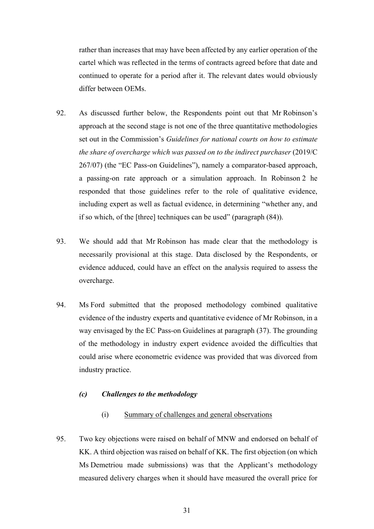rather than increases that may have been affected by any earlier operation of the cartel which was reflected in the terms of contracts agreed before that date and continued to operate for a period after it. The relevant dates would obviously differ between OEMs.

- 92. As discussed further below, the Respondents point out that Mr Robinson's approach at the second stage is not one of the three quantitative methodologies set out in the Commission's *Guidelines for national courts on how to estimate the share of overcharge which was passed on to the indirect purchaser* (2019/C 267/07) (the "EC Pass-on Guidelines"), namely a comparator-based approach, a passing-on rate approach or a simulation approach. In Robinson 2 he responded that those guidelines refer to the role of qualitative evidence, including expert as well as factual evidence, in determining "whether any, and if so which, of the [three] techniques can be used" (paragraph (84)).
- 93. We should add that Mr Robinson has made clear that the methodology is necessarily provisional at this stage. Data disclosed by the Respondents, or evidence adduced, could have an effect on the analysis required to assess the overcharge.
- 94. Ms Ford submitted that the proposed methodology combined qualitative evidence of the industry experts and quantitative evidence of Mr Robinson, in a way envisaged by the EC Pass-on Guidelines at paragraph (37). The grounding of the methodology in industry expert evidence avoided the difficulties that could arise where econometric evidence was provided that was divorced from industry practice.

# *(c) Challenges to the methodology*

- (i) Summary of challenges and general observations
- 95. Two key objections were raised on behalf of MNW and endorsed on behalf of KK. A third objection was raised on behalf of KK. The first objection (on which Ms Demetriou made submissions) was that the Applicant's methodology measured delivery charges when it should have measured the overall price for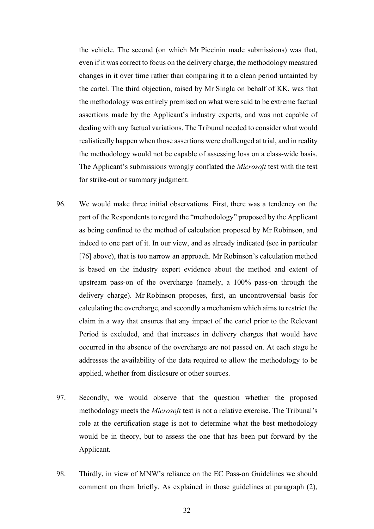the vehicle. The second (on which Mr Piccinin made submissions) was that, even if it was correct to focus on the delivery charge, the methodology measured changes in it over time rather than comparing it to a clean period untainted by the cartel. The third objection, raised by Mr Singla on behalf of KK, was that the methodology was entirely premised on what were said to be extreme factual assertions made by the Applicant's industry experts, and was not capable of dealing with any factual variations. The Tribunal needed to consider what would realistically happen when those assertions were challenged at trial, and in reality the methodology would not be capable of assessing loss on a class-wide basis. The Applicant's submissions wrongly conflated the *Microsoft* test with the test for strike-out or summary judgment.

- 96. We would make three initial observations. First, there was a tendency on the part of the Respondents to regard the "methodology" proposed by the Applicant as being confined to the method of calculation proposed by Mr Robinson, and indeed to one part of it. In our view, and as already indicated (see in particular [76] above), that is too narrow an approach. Mr Robinson's calculation method is based on the industry expert evidence about the method and extent of upstream pass-on of the overcharge (namely, a 100% pass-on through the delivery charge). Mr Robinson proposes, first, an uncontroversial basis for calculating the overcharge, and secondly a mechanism which aims to restrict the claim in a way that ensures that any impact of the cartel prior to the Relevant Period is excluded, and that increases in delivery charges that would have occurred in the absence of the overcharge are not passed on. At each stage he addresses the availability of the data required to allow the methodology to be applied, whether from disclosure or other sources.
- 97. Secondly, we would observe that the question whether the proposed methodology meets the *Microsoft* test is not a relative exercise. The Tribunal's role at the certification stage is not to determine what the best methodology would be in theory, but to assess the one that has been put forward by the Applicant.
- 98. Thirdly, in view of MNW's reliance on the EC Pass-on Guidelines we should comment on them briefly. As explained in those guidelines at paragraph (2),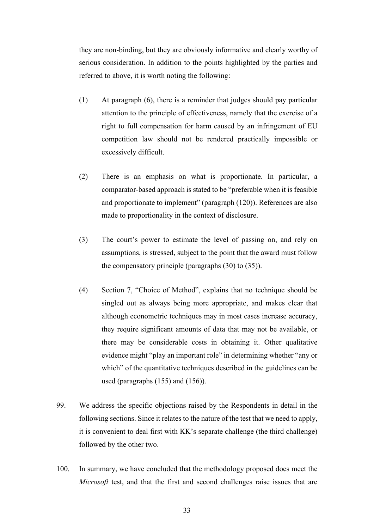they are non-binding, but they are obviously informative and clearly worthy of serious consideration. In addition to the points highlighted by the parties and referred to above, it is worth noting the following:

- (1) At paragraph (6), there is a reminder that judges should pay particular attention to the principle of effectiveness, namely that the exercise of a right to full compensation for harm caused by an infringement of EU competition law should not be rendered practically impossible or excessively difficult.
- (2) There is an emphasis on what is proportionate. In particular, a comparator-based approach is stated to be "preferable when it is feasible and proportionate to implement" (paragraph (120)). References are also made to proportionality in the context of disclosure.
- (3) The court's power to estimate the level of passing on, and rely on assumptions, is stressed, subject to the point that the award must follow the compensatory principle (paragraphs (30) to (35)).
- (4) Section 7, "Choice of Method", explains that no technique should be singled out as always being more appropriate, and makes clear that although econometric techniques may in most cases increase accuracy, they require significant amounts of data that may not be available, or there may be considerable costs in obtaining it. Other qualitative evidence might "play an important role" in determining whether "any or which" of the quantitative techniques described in the guidelines can be used (paragraphs (155) and (156)).
- 99. We address the specific objections raised by the Respondents in detail in the following sections. Since it relates to the nature of the test that we need to apply, it is convenient to deal first with KK's separate challenge (the third challenge) followed by the other two.
- 100. In summary, we have concluded that the methodology proposed does meet the *Microsoft* test, and that the first and second challenges raise issues that are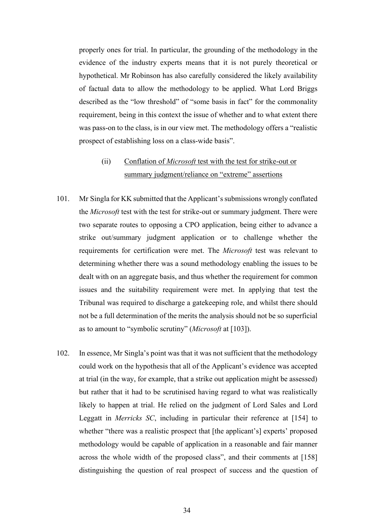properly ones for trial. In particular, the grounding of the methodology in the evidence of the industry experts means that it is not purely theoretical or hypothetical. Mr Robinson has also carefully considered the likely availability of factual data to allow the methodology to be applied. What Lord Briggs described as the "low threshold" of "some basis in fact" for the commonality requirement, being in this context the issue of whether and to what extent there was pass-on to the class, is in our view met. The methodology offers a "realistic prospect of establishing loss on a class-wide basis".

# (ii) Conflation of *Microsoft* test with the test for strike-out or summary judgment/reliance on "extreme" assertions

- 101. Mr Singla for KK submitted that the Applicant's submissions wrongly conflated the *Microsoft* test with the test for strike-out or summary judgment. There were two separate routes to opposing a CPO application, being either to advance a strike out/summary judgment application or to challenge whether the requirements for certification were met. The *Microsoft* test was relevant to determining whether there was a sound methodology enabling the issues to be dealt with on an aggregate basis, and thus whether the requirement for common issues and the suitability requirement were met. In applying that test the Tribunal was required to discharge a gatekeeping role, and whilst there should not be a full determination of the merits the analysis should not be so superficial as to amount to "symbolic scrutiny" (*Microsoft* at [103]).
- 102. In essence, Mr Singla's point was that it was not sufficient that the methodology could work on the hypothesis that all of the Applicant's evidence was accepted at trial (in the way, for example, that a strike out application might be assessed) but rather that it had to be scrutinised having regard to what was realistically likely to happen at trial. He relied on the judgment of Lord Sales and Lord Leggatt in *Merricks SC*, including in particular their reference at [154] to whether "there was a realistic prospect that [the applicant's] experts' proposed methodology would be capable of application in a reasonable and fair manner across the whole width of the proposed class", and their comments at [158] distinguishing the question of real prospect of success and the question of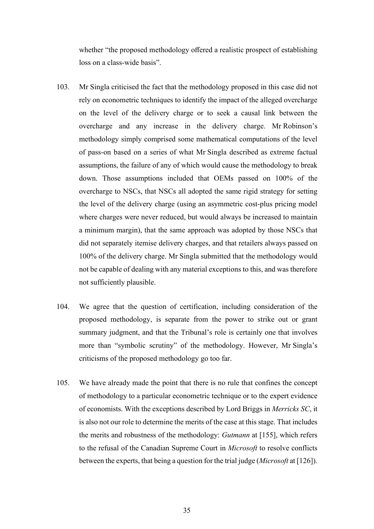whether "the proposed methodology offered a realistic prospect of establishing loss on a class-wide basis".

- 103. Mr Singla criticised the fact that the methodology proposed in this case did not rely on econometric techniques to identify the impact of the alleged overcharge on the level of the delivery charge or to seek a causal link between the overcharge and any increase in the delivery charge. Mr Robinson's methodology simply comprised some mathematical computations of the level of pass-on based on a series of what Mr Singla described as extreme factual assumptions, the failure of any of which would cause the methodology to break down. Those assumptions included that OEMs passed on 100% of the overcharge to NSCs, that NSCs all adopted the same rigid strategy for setting the level of the delivery charge (using an asymmetric cost-plus pricing model where charges were never reduced, but would always be increased to maintain a minimum margin), that the same approach was adopted by those NSCs that did not separately itemise delivery charges, and that retailers always passed on 100% of the delivery charge. Mr Singla submitted that the methodology would not be capable of dealing with any material exceptions to this, and was therefore not sufficiently plausible.
- 104. We agree that the question of certification, including consideration of the proposed methodology, is separate from the power to strike out or grant summary judgment, and that the Tribunal's role is certainly one that involves more than "symbolic scrutiny" of the methodology. However, Mr Singla's criticisms of the proposed methodology go too far.
- 105. We have already made the point that there is no rule that confines the concept of methodology to a particular econometric technique or to the expert evidence of economists. With the exceptions described by Lord Briggs in *Merricks SC*, it is also not our role to determine the merits of the case at this stage. That includes the merits and robustness of the methodology: *Gutmann* at [155], which refers to the refusal of the Canadian Supreme Court in *Microsoft* to resolve conflicts between the experts, that being a question for the trial judge (*Microsoft* at [126]).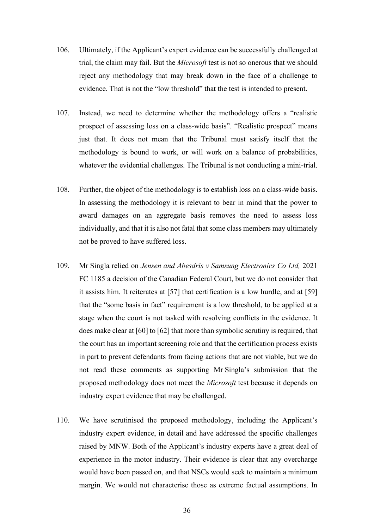- 106. Ultimately, if the Applicant's expert evidence can be successfully challenged at trial, the claim may fail. But the *Microsoft* test is not so onerous that we should reject any methodology that may break down in the face of a challenge to evidence. That is not the "low threshold" that the test is intended to present.
- 107. Instead, we need to determine whether the methodology offers a "realistic prospect of assessing loss on a class-wide basis". "Realistic prospect" means just that. It does not mean that the Tribunal must satisfy itself that the methodology is bound to work, or will work on a balance of probabilities, whatever the evidential challenges. The Tribunal is not conducting a mini-trial.
- 108. Further, the object of the methodology is to establish loss on a class-wide basis. In assessing the methodology it is relevant to bear in mind that the power to award damages on an aggregate basis removes the need to assess loss individually, and that it is also not fatal that some class members may ultimately not be proved to have suffered loss.
- 109. Mr Singla relied on *Jensen and Abesdris v Samsung Electronics Co Ltd,* 2021 FC 1185 a decision of the Canadian Federal Court, but we do not consider that it assists him. It reiterates at [57] that certification is a low hurdle, and at [59] that the "some basis in fact" requirement is a low threshold, to be applied at a stage when the court is not tasked with resolving conflicts in the evidence. It does make clear at [60] to [62] that more than symbolic scrutiny is required, that the court has an important screening role and that the certification process exists in part to prevent defendants from facing actions that are not viable, but we do not read these comments as supporting Mr Singla's submission that the proposed methodology does not meet the *Microsoft* test because it depends on industry expert evidence that may be challenged.
- 110. We have scrutinised the proposed methodology, including the Applicant's industry expert evidence, in detail and have addressed the specific challenges raised by MNW. Both of the Applicant's industry experts have a great deal of experience in the motor industry. Their evidence is clear that any overcharge would have been passed on, and that NSCs would seek to maintain a minimum margin. We would not characterise those as extreme factual assumptions. In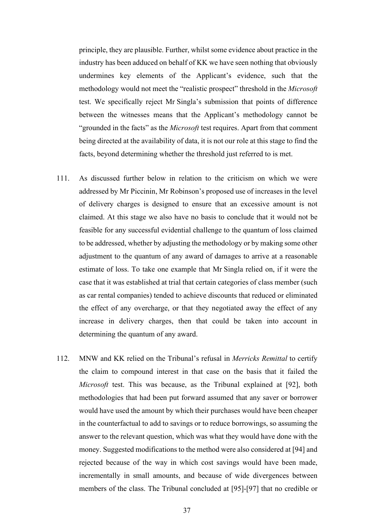principle, they are plausible. Further, whilst some evidence about practice in the industry has been adduced on behalf of KK we have seen nothing that obviously undermines key elements of the Applicant's evidence, such that the methodology would not meet the "realistic prospect" threshold in the *Microsoft*  test. We specifically reject Mr Singla's submission that points of difference between the witnesses means that the Applicant's methodology cannot be "grounded in the facts" as the *Microsoft* test requires. Apart from that comment being directed at the availability of data, it is not our role at this stage to find the facts, beyond determining whether the threshold just referred to is met.

- 111. As discussed further below in relation to the criticism on which we were addressed by Mr Piccinin, Mr Robinson's proposed use of increases in the level of delivery charges is designed to ensure that an excessive amount is not claimed. At this stage we also have no basis to conclude that it would not be feasible for any successful evidential challenge to the quantum of loss claimed to be addressed, whether by adjusting the methodology or by making some other adjustment to the quantum of any award of damages to arrive at a reasonable estimate of loss. To take one example that Mr Singla relied on, if it were the case that it was established at trial that certain categories of class member (such as car rental companies) tended to achieve discounts that reduced or eliminated the effect of any overcharge, or that they negotiated away the effect of any increase in delivery charges, then that could be taken into account in determining the quantum of any award.
- 112. MNW and KK relied on the Tribunal's refusal in *Merricks Remittal* to certify the claim to compound interest in that case on the basis that it failed the *Microsoft* test. This was because, as the Tribunal explained at [92], both methodologies that had been put forward assumed that any saver or borrower would have used the amount by which their purchases would have been cheaper in the counterfactual to add to savings or to reduce borrowings, so assuming the answer to the relevant question, which was what they would have done with the money. Suggested modifications to the method were also considered at [94] and rejected because of the way in which cost savings would have been made, incrementally in small amounts, and because of wide divergences between members of the class. The Tribunal concluded at [95]-[97] that no credible or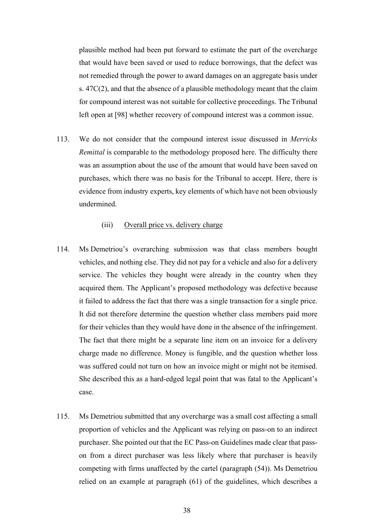plausible method had been put forward to estimate the part of the overcharge that would have been saved or used to reduce borrowings, that the defect was not remedied through the power to award damages on an aggregate basis under s. 47C(2), and that the absence of a plausible methodology meant that the claim for compound interest was not suitable for collective proceedings. The Tribunal left open at [98] whether recovery of compound interest was a common issue.

113. We do not consider that the compound interest issue discussed in *Merricks Remittal* is comparable to the methodology proposed here. The difficulty there was an assumption about the use of the amount that would have been saved on purchases, which there was no basis for the Tribunal to accept. Here, there is evidence from industry experts, key elements of which have not been obviously undermined.

# (iii) Overall price vs. delivery charge

- 114. Ms Demetriou's overarching submission was that class members bought vehicles, and nothing else. They did not pay for a vehicle and also for a delivery service. The vehicles they bought were already in the country when they acquired them. The Applicant's proposed methodology was defective because it failed to address the fact that there was a single transaction for a single price. It did not therefore determine the question whether class members paid more for their vehicles than they would have done in the absence of the infringement. The fact that there might be a separate line item on an invoice for a delivery charge made no difference. Money is fungible, and the question whether loss was suffered could not turn on how an invoice might or might not be itemised. She described this as a hard-edged legal point that was fatal to the Applicant's case.
- 115. Ms Demetriou submitted that any overcharge was a small cost affecting a small proportion of vehicles and the Applicant was relying on pass-on to an indirect purchaser. She pointed out that the EC Pass-on Guidelines made clear that passon from a direct purchaser was less likely where that purchaser is heavily competing with firms unaffected by the cartel (paragraph (54)). Ms Demetriou relied on an example at paragraph (61) of the guidelines, which describes a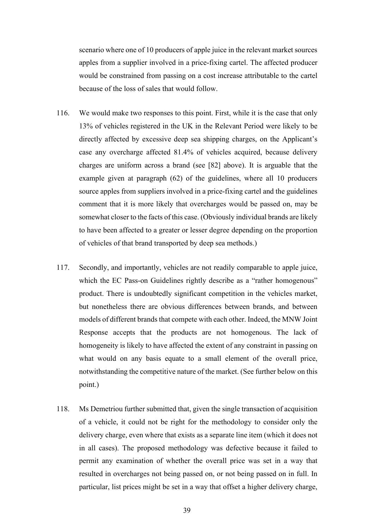scenario where one of 10 producers of apple juice in the relevant market sources apples from a supplier involved in a price-fixing cartel. The affected producer would be constrained from passing on a cost increase attributable to the cartel because of the loss of sales that would follow.

- 116. We would make two responses to this point. First, while it is the case that only 13% of vehicles registered in the UK in the Relevant Period were likely to be directly affected by excessive deep sea shipping charges, on the Applicant's case any overcharge affected 81.4% of vehicles acquired, because delivery charges are uniform across a brand (see [82] above). It is arguable that the example given at paragraph (62) of the guidelines, where all 10 producers source apples from suppliers involved in a price-fixing cartel and the guidelines comment that it is more likely that overcharges would be passed on, may be somewhat closer to the facts of this case. (Obviously individual brands are likely to have been affected to a greater or lesser degree depending on the proportion of vehicles of that brand transported by deep sea methods.)
- 117. Secondly, and importantly, vehicles are not readily comparable to apple juice, which the EC Pass-on Guidelines rightly describe as a "rather homogenous" product. There is undoubtedly significant competition in the vehicles market, but nonetheless there are obvious differences between brands, and between models of different brands that compete with each other. Indeed, the MNW Joint Response accepts that the products are not homogenous. The lack of homogeneity is likely to have affected the extent of any constraint in passing on what would on any basis equate to a small element of the overall price, notwithstanding the competitive nature of the market. (See further below on this point.)
- 118. Ms Demetriou further submitted that, given the single transaction of acquisition of a vehicle, it could not be right for the methodology to consider only the delivery charge, even where that exists as a separate line item (which it does not in all cases). The proposed methodology was defective because it failed to permit any examination of whether the overall price was set in a way that resulted in overcharges not being passed on, or not being passed on in full. In particular, list prices might be set in a way that offset a higher delivery charge,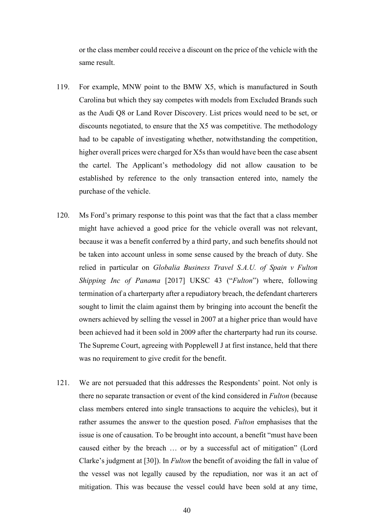or the class member could receive a discount on the price of the vehicle with the same result.

- 119. For example, MNW point to the BMW X5, which is manufactured in South Carolina but which they say competes with models from Excluded Brands such as the Audi Q8 or Land Rover Discovery. List prices would need to be set, or discounts negotiated, to ensure that the X5 was competitive. The methodology had to be capable of investigating whether, notwithstanding the competition, higher overall prices were charged for X5s than would have been the case absent the cartel. The Applicant's methodology did not allow causation to be established by reference to the only transaction entered into, namely the purchase of the vehicle.
- 120. Ms Ford's primary response to this point was that the fact that a class member might have achieved a good price for the vehicle overall was not relevant, because it was a benefit conferred by a third party, and such benefits should not be taken into account unless in some sense caused by the breach of duty. She relied in particular on *Globalia Business Travel S.A.U. of Spain v Fulton Shipping Inc of Panama* [2017] UKSC 43 ("*Fulton*") where, following termination of a charterparty after a repudiatory breach, the defendant charterers sought to limit the claim against them by bringing into account the benefit the owners achieved by selling the vessel in 2007 at a higher price than would have been achieved had it been sold in 2009 after the charterparty had run its course. The Supreme Court, agreeing with Popplewell J at first instance, held that there was no requirement to give credit for the benefit.
- 121. We are not persuaded that this addresses the Respondents' point. Not only is there no separate transaction or event of the kind considered in *Fulton* (because class members entered into single transactions to acquire the vehicles), but it rather assumes the answer to the question posed. *Fulton* emphasises that the issue is one of causation. To be brought into account, a benefit "must have been caused either by the breach … or by a successful act of mitigation" (Lord Clarke's judgment at [30]). In *Fulton* the benefit of avoiding the fall in value of the vessel was not legally caused by the repudiation, nor was it an act of mitigation. This was because the vessel could have been sold at any time,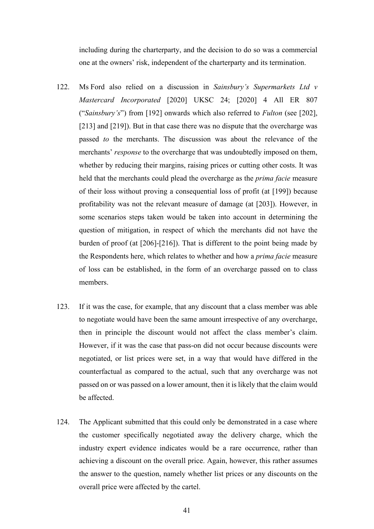including during the charterparty, and the decision to do so was a commercial one at the owners' risk, independent of the charterparty and its termination.

- 122. Ms Ford also relied on a discussion in *Sainsbury's Supermarkets Ltd v Mastercard Incorporated* [2020] UKSC 24; [2020] 4 All ER 807 ("*Sainsbury's*") from [192] onwards which also referred to *Fulton* (see [202], [213] and [219]). But in that case there was no dispute that the overcharge was passed *to* the merchants. The discussion was about the relevance of the merchants' *response* to the overcharge that was undoubtedly imposed on them, whether by reducing their margins, raising prices or cutting other costs. It was held that the merchants could plead the overcharge as the *prima facie* measure of their loss without proving a consequential loss of profit (at [199]) because profitability was not the relevant measure of damage (at [203]). However, in some scenarios steps taken would be taken into account in determining the question of mitigation, in respect of which the merchants did not have the burden of proof (at [206]-[216]). That is different to the point being made by the Respondents here, which relates to whether and how a *prima facie* measure of loss can be established, in the form of an overcharge passed on to class members.
- 123. If it was the case, for example, that any discount that a class member was able to negotiate would have been the same amount irrespective of any overcharge, then in principle the discount would not affect the class member's claim. However, if it was the case that pass-on did not occur because discounts were negotiated, or list prices were set, in a way that would have differed in the counterfactual as compared to the actual, such that any overcharge was not passed on or was passed on a lower amount, then it is likely that the claim would be affected.
- 124. The Applicant submitted that this could only be demonstrated in a case where the customer specifically negotiated away the delivery charge, which the industry expert evidence indicates would be a rare occurrence, rather than achieving a discount on the overall price. Again, however, this rather assumes the answer to the question, namely whether list prices or any discounts on the overall price were affected by the cartel.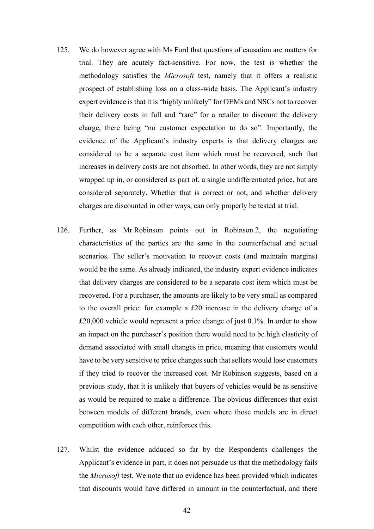- 125. We do however agree with Ms Ford that questions of causation are matters for trial. They are acutely fact-sensitive. For now, the test is whether the methodology satisfies the *Microsoft* test, namely that it offers a realistic prospect of establishing loss on a class-wide basis. The Applicant's industry expert evidence is that it is "highly unlikely" for OEMs and NSCs not to recover their delivery costs in full and "rare" for a retailer to discount the delivery charge, there being "no customer expectation to do so". Importantly, the evidence of the Applicant's industry experts is that delivery charges are considered to be a separate cost item which must be recovered, such that increases in delivery costs are not absorbed. In other words, they are not simply wrapped up in, or considered as part of, a single undifferentiated price, but are considered separately. Whether that is correct or not, and whether delivery charges are discounted in other ways, can only properly be tested at trial.
- 126. Further, as Mr Robinson points out in Robinson 2, the negotiating characteristics of the parties are the same in the counterfactual and actual scenarios. The seller's motivation to recover costs (and maintain margins) would be the same. As already indicated, the industry expert evidence indicates that delivery charges are considered to be a separate cost item which must be recovered. For a purchaser, the amounts are likely to be very small as compared to the overall price: for example a £20 increase in the delivery charge of a £20,000 vehicle would represent a price change of just 0.1%. In order to show an impact on the purchaser's position there would need to be high elasticity of demand associated with small changes in price, meaning that customers would have to be very sensitive to price changes such that sellers would lose customers if they tried to recover the increased cost. Mr Robinson suggests, based on a previous study, that it is unlikely that buyers of vehicles would be as sensitive as would be required to make a difference. The obvious differences that exist between models of different brands, even where those models are in direct competition with each other, reinforces this.
- 127. Whilst the evidence adduced so far by the Respondents challenges the Applicant's evidence in part, it does not persuade us that the methodology fails the *Microsoft* test. We note that no evidence has been provided which indicates that discounts would have differed in amount in the counterfactual, and there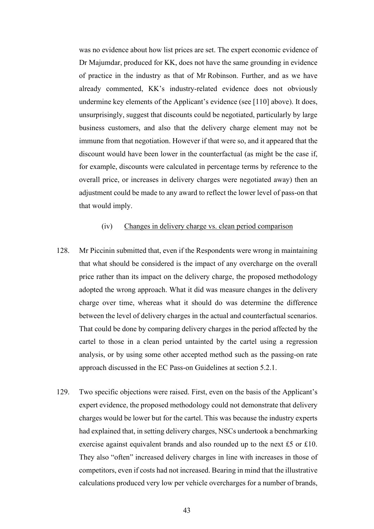was no evidence about how list prices are set. The expert economic evidence of Dr Majumdar, produced for KK, does not have the same grounding in evidence of practice in the industry as that of Mr Robinson. Further, and as we have already commented, KK's industry-related evidence does not obviously undermine key elements of the Applicant's evidence (see [110] above). It does, unsurprisingly, suggest that discounts could be negotiated, particularly by large business customers, and also that the delivery charge element may not be immune from that negotiation. However if that were so, and it appeared that the discount would have been lower in the counterfactual (as might be the case if, for example, discounts were calculated in percentage terms by reference to the overall price, or increases in delivery charges were negotiated away) then an adjustment could be made to any award to reflect the lower level of pass-on that that would imply.

### (iv) Changes in delivery charge vs. clean period comparison

- 128. Mr Piccinin submitted that, even if the Respondents were wrong in maintaining that what should be considered is the impact of any overcharge on the overall price rather than its impact on the delivery charge, the proposed methodology adopted the wrong approach. What it did was measure changes in the delivery charge over time, whereas what it should do was determine the difference between the level of delivery charges in the actual and counterfactual scenarios. That could be done by comparing delivery charges in the period affected by the cartel to those in a clean period untainted by the cartel using a regression analysis, or by using some other accepted method such as the passing-on rate approach discussed in the EC Pass-on Guidelines at section 5.2.1.
- 129. Two specific objections were raised. First, even on the basis of the Applicant's expert evidence, the proposed methodology could not demonstrate that delivery charges would be lower but for the cartel. This was because the industry experts had explained that, in setting delivery charges, NSCs undertook a benchmarking exercise against equivalent brands and also rounded up to the next £5 or £10. They also "often" increased delivery charges in line with increases in those of competitors, even if costs had not increased. Bearing in mind that the illustrative calculations produced very low per vehicle overcharges for a number of brands,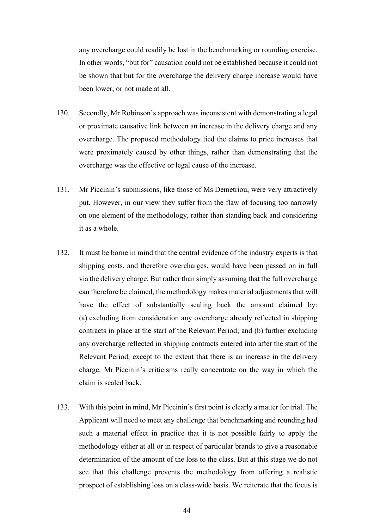any overcharge could readily be lost in the benchmarking or rounding exercise. In other words, "but for" causation could not be established because it could not be shown that but for the overcharge the delivery charge increase would have been lower, or not made at all.

- 130. Secondly, Mr Robinson's approach was inconsistent with demonstrating a legal or proximate causative link between an increase in the delivery charge and any overcharge. The proposed methodology tied the claims to price increases that were proximately caused by other things, rather than demonstrating that the overcharge was the effective or legal cause of the increase.
- 131. Mr Piccinin's submissions, like those of Ms Demetriou, were very attractively put. However, in our view they suffer from the flaw of focusing too narrowly on one element of the methodology, rather than standing back and considering it as a whole.
- 132. It must be borne in mind that the central evidence of the industry experts is that shipping costs, and therefore overcharges, would have been passed on in full via the delivery charge. But rather than simply assuming that the full overcharge can therefore be claimed, the methodology makes material adjustments that will have the effect of substantially scaling back the amount claimed by: (a) excluding from consideration any overcharge already reflected in shipping contracts in place at the start of the Relevant Period; and (b) further excluding any overcharge reflected in shipping contracts entered into after the start of the Relevant Period, except to the extent that there is an increase in the delivery charge. Mr Piccinin's criticisms really concentrate on the way in which the claim is scaled back.
- 133. With this point in mind, Mr Piccinin's first point is clearly a matter for trial. The Applicant will need to meet any challenge that benchmarking and rounding had such a material effect in practice that it is not possible fairly to apply the methodology either at all or in respect of particular brands to give a reasonable determination of the amount of the loss to the class. But at this stage we do not see that this challenge prevents the methodology from offering a realistic prospect of establishing loss on a class-wide basis. We reiterate that the focus is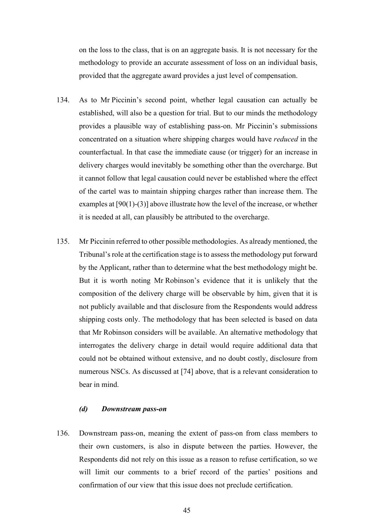on the loss to the class, that is on an aggregate basis. It is not necessary for the methodology to provide an accurate assessment of loss on an individual basis, provided that the aggregate award provides a just level of compensation.

- 134. As to Mr Piccinin's second point, whether legal causation can actually be established, will also be a question for trial. But to our minds the methodology provides a plausible way of establishing pass-on. Mr Piccinin's submissions concentrated on a situation where shipping charges would have *reduced* in the counterfactual. In that case the immediate cause (or trigger) for an increase in delivery charges would inevitably be something other than the overcharge. But it cannot follow that legal causation could never be established where the effect of the cartel was to maintain shipping charges rather than increase them. The examples at [90(1)-(3)] above illustrate how the level of the increase, or whether it is needed at all, can plausibly be attributed to the overcharge.
- 135. Mr Piccinin referred to other possible methodologies. As already mentioned, the Tribunal's role at the certification stage is to assess the methodology put forward by the Applicant, rather than to determine what the best methodology might be. But it is worth noting Mr Robinson's evidence that it is unlikely that the composition of the delivery charge will be observable by him, given that it is not publicly available and that disclosure from the Respondents would address shipping costs only. The methodology that has been selected is based on data that Mr Robinson considers will be available. An alternative methodology that interrogates the delivery charge in detail would require additional data that could not be obtained without extensive, and no doubt costly, disclosure from numerous NSCs. As discussed at [74] above, that is a relevant consideration to bear in mind.

## *(d) Downstream pass-on*

136. Downstream pass-on, meaning the extent of pass-on from class members to their own customers, is also in dispute between the parties. However, the Respondents did not rely on this issue as a reason to refuse certification, so we will limit our comments to a brief record of the parties' positions and confirmation of our view that this issue does not preclude certification.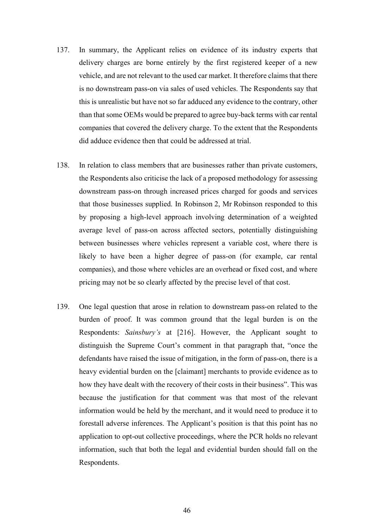- 137. In summary, the Applicant relies on evidence of its industry experts that delivery charges are borne entirely by the first registered keeper of a new vehicle, and are not relevant to the used car market. It therefore claims that there is no downstream pass-on via sales of used vehicles. The Respondents say that this is unrealistic but have not so far adduced any evidence to the contrary, other than that some OEMs would be prepared to agree buy-back terms with car rental companies that covered the delivery charge. To the extent that the Respondents did adduce evidence then that could be addressed at trial.
- 138. In relation to class members that are businesses rather than private customers, the Respondents also criticise the lack of a proposed methodology for assessing downstream pass-on through increased prices charged for goods and services that those businesses supplied. In Robinson 2, Mr Robinson responded to this by proposing a high-level approach involving determination of a weighted average level of pass-on across affected sectors, potentially distinguishing between businesses where vehicles represent a variable cost, where there is likely to have been a higher degree of pass-on (for example, car rental companies), and those where vehicles are an overhead or fixed cost, and where pricing may not be so clearly affected by the precise level of that cost.
- 139. One legal question that arose in relation to downstream pass-on related to the burden of proof. It was common ground that the legal burden is on the Respondents: *Sainsbury's* at [216]. However, the Applicant sought to distinguish the Supreme Court's comment in that paragraph that, "once the defendants have raised the issue of mitigation, in the form of pass-on, there is a heavy evidential burden on the [claimant] merchants to provide evidence as to how they have dealt with the recovery of their costs in their business". This was because the justification for that comment was that most of the relevant information would be held by the merchant, and it would need to produce it to forestall adverse inferences. The Applicant's position is that this point has no application to opt-out collective proceedings, where the PCR holds no relevant information, such that both the legal and evidential burden should fall on the Respondents.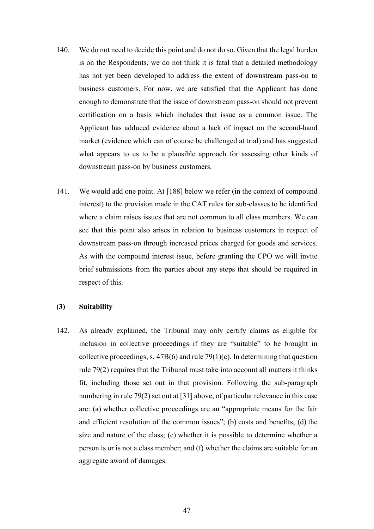- 140. We do not need to decide this point and do not do so. Given that the legal burden is on the Respondents, we do not think it is fatal that a detailed methodology has not yet been developed to address the extent of downstream pass-on to business customers. For now, we are satisfied that the Applicant has done enough to demonstrate that the issue of downstream pass-on should not prevent certification on a basis which includes that issue as a common issue. The Applicant has adduced evidence about a lack of impact on the second-hand market (evidence which can of course be challenged at trial) and has suggested what appears to us to be a plausible approach for assessing other kinds of downstream pass-on by business customers.
- 141. We would add one point. At [188] below we refer (in the context of compound interest) to the provision made in the CAT rules for sub-classes to be identified where a claim raises issues that are not common to all class members*.* We can see that this point also arises in relation to business customers in respect of downstream pass-on through increased prices charged for goods and services. As with the compound interest issue, before granting the CPO we will invite brief submissions from the parties about any steps that should be required in respect of this.

### **(3) Suitability**

142. As already explained, the Tribunal may only certify claims as eligible for inclusion in collective proceedings if they are "suitable" to be brought in collective proceedings, s.  $47B(6)$  and rule  $79(1)(c)$ . In determining that question rule 79(2) requires that the Tribunal must take into account all matters it thinks fit, including those set out in that provision. Following the sub-paragraph numbering in rule 79(2) set out at [31] above, of particular relevance in this case are: (a) whether collective proceedings are an "appropriate means for the fair and efficient resolution of the common issues"; (b) costs and benefits; (d) the size and nature of the class; (e) whether it is possible to determine whether a person is or is not a class member; and (f) whether the claims are suitable for an aggregate award of damages.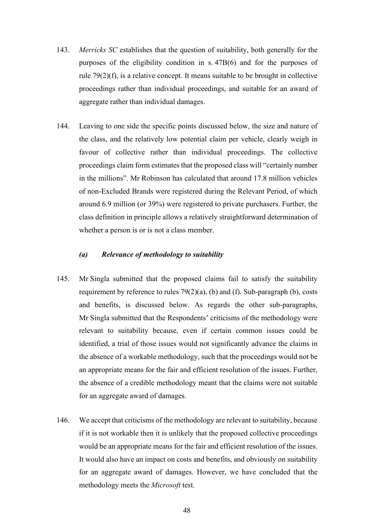- 143. *Merricks SC* establishes that the question of suitability, both generally for the purposes of the eligibility condition in s. 47B(6) and for the purposes of rule 79(2)(f), is a relative concept. It means suitable to be brought in collective proceedings rather than individual proceedings, and suitable for an award of aggregate rather than individual damages.
- 144. Leaving to one side the specific points discussed below, the size and nature of the class, and the relatively low potential claim per vehicle, clearly weigh in favour of collective rather than individual proceedings. The collective proceedings claim form estimates that the proposed class will "certainly number in the millions". Mr Robinson has calculated that around 17.8 million vehicles of non-Excluded Brands were registered during the Relevant Period, of which around 6.9 million (or 39%) were registered to private purchasers. Further, the class definition in principle allows a relatively straightforward determination of whether a person is or is not a class member.

### *(a) Relevance of methodology to suitability*

- 145. Mr Singla submitted that the proposed claims fail to satisfy the suitability requirement by reference to rules 79(2)(a), (b) and (f). Sub*-*paragraph (b), costs and benefits, is discussed below. As regards the other sub-paragraphs, Mr Singla submitted that the Respondents' criticisms of the methodology were relevant to suitability because, even if certain common issues could be identified, a trial of those issues would not significantly advance the claims in the absence of a workable methodology, such that the proceedings would not be an appropriate means for the fair and efficient resolution of the issues. Further, the absence of a credible methodology meant that the claims were not suitable for an aggregate award of damages.
- 146. We accept that criticisms of the methodology are relevant to suitability, because if it is not workable then it is unlikely that the proposed collective proceedings would be an appropriate means for the fair and efficient resolution of the issues. It would also have an impact on costs and benefits, and obviously on suitability for an aggregate award of damages. However, we have concluded that the methodology meets the *Microsoft* test.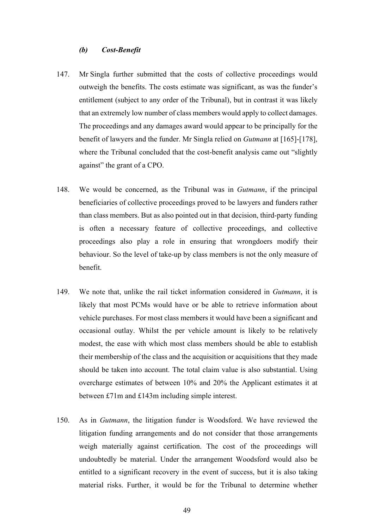### *(b) Cost-Benefit*

- 147. Mr Singla further submitted that the costs of collective proceedings would outweigh the benefits. The costs estimate was significant, as was the funder's entitlement (subject to any order of the Tribunal), but in contrast it was likely that an extremely low number of class members would apply to collect damages. The proceedings and any damages award would appear to be principally for the benefit of lawyers and the funder. Mr Singla relied on *Gutmann* at [165]-[178], where the Tribunal concluded that the cost-benefit analysis came out "slightly against" the grant of a CPO.
- 148. We would be concerned, as the Tribunal was in *Gutmann*, if the principal beneficiaries of collective proceedings proved to be lawyers and funders rather than class members. But as also pointed out in that decision, third-party funding is often a necessary feature of collective proceedings, and collective proceedings also play a role in ensuring that wrongdoers modify their behaviour. So the level of take-up by class members is not the only measure of benefit.
- 149. We note that, unlike the rail ticket information considered in *Gutmann*, it is likely that most PCMs would have or be able to retrieve information about vehicle purchases. For most class members it would have been a significant and occasional outlay. Whilst the per vehicle amount is likely to be relatively modest, the ease with which most class members should be able to establish their membership of the class and the acquisition or acquisitions that they made should be taken into account. The total claim value is also substantial. Using overcharge estimates of between 10% and 20% the Applicant estimates it at between £71m and £143m including simple interest.
- 150. As in *Gutmann*, the litigation funder is Woodsford. We have reviewed the litigation funding arrangements and do not consider that those arrangements weigh materially against certification. The cost of the proceedings will undoubtedly be material. Under the arrangement Woodsford would also be entitled to a significant recovery in the event of success, but it is also taking material risks. Further, it would be for the Tribunal to determine whether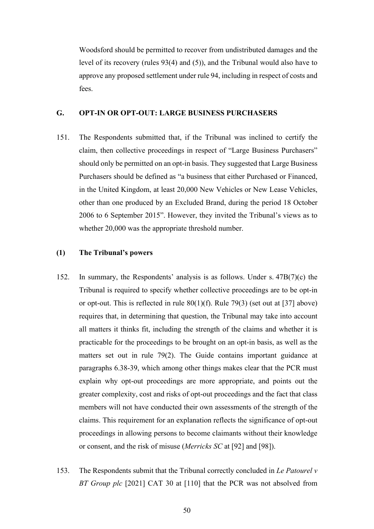Woodsford should be permitted to recover from undistributed damages and the level of its recovery (rules 93(4) and (5)), and the Tribunal would also have to approve any proposed settlement under rule 94, including in respect of costs and fees.

### **G. OPT-IN OR OPT-OUT: LARGE BUSINESS PURCHASERS**

151. The Respondents submitted that, if the Tribunal was inclined to certify the claim, then collective proceedings in respect of "Large Business Purchasers" should only be permitted on an opt-in basis. They suggested that Large Business Purchasers should be defined as "a business that either Purchased or Financed, in the United Kingdom, at least 20,000 New Vehicles or New Lease Vehicles, other than one produced by an Excluded Brand, during the period 18 October 2006 to 6 September 2015". However, they invited the Tribunal's views as to whether 20,000 was the appropriate threshold number.

### **(1) The Tribunal's powers**

- 152. In summary, the Respondents' analysis is as follows. Under s. 47B(7)(c) the Tribunal is required to specify whether collective proceedings are to be opt-in or opt-out. This is reflected in rule  $80(1)(f)$ . Rule 79(3) (set out at [37] above) requires that, in determining that question, the Tribunal may take into account all matters it thinks fit, including the strength of the claims and whether it is practicable for the proceedings to be brought on an opt-in basis, as well as the matters set out in rule 79(2). The Guide contains important guidance at paragraphs 6.38-39, which among other things makes clear that the PCR must explain why opt-out proceedings are more appropriate, and points out the greater complexity, cost and risks of opt-out proceedings and the fact that class members will not have conducted their own assessments of the strength of the claims. This requirement for an explanation reflects the significance of opt-out proceedings in allowing persons to become claimants without their knowledge or consent, and the risk of misuse (*Merricks SC* at [92] and [98]).
- 153. The Respondents submit that the Tribunal correctly concluded in *Le Patourel v BT Group plc* [2021] CAT 30 at [110] that the PCR was not absolved from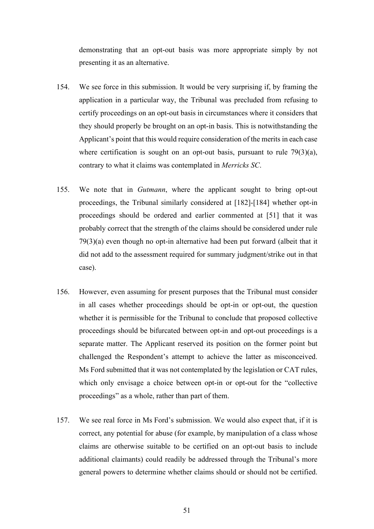demonstrating that an opt-out basis was more appropriate simply by not presenting it as an alternative.

- 154. We see force in this submission. It would be very surprising if, by framing the application in a particular way, the Tribunal was precluded from refusing to certify proceedings on an opt-out basis in circumstances where it considers that they should properly be brought on an opt-in basis. This is notwithstanding the Applicant's point that this would require consideration of the merits in each case where certification is sought on an opt-out basis, pursuant to rule  $79(3)(a)$ , contrary to what it claims was contemplated in *Merricks SC*.
- 155. We note that in *Gutmann*, where the applicant sought to bring opt-out proceedings, the Tribunal similarly considered at [182]-[184] whether opt-in proceedings should be ordered and earlier commented at [51] that it was probably correct that the strength of the claims should be considered under rule 79(3)(a) even though no opt-in alternative had been put forward (albeit that it did not add to the assessment required for summary judgment/strike out in that case).
- 156. However, even assuming for present purposes that the Tribunal must consider in all cases whether proceedings should be opt-in or opt-out, the question whether it is permissible for the Tribunal to conclude that proposed collective proceedings should be bifurcated between opt-in and opt-out proceedings is a separate matter. The Applicant reserved its position on the former point but challenged the Respondent's attempt to achieve the latter as misconceived. Ms Ford submitted that it was not contemplated by the legislation or CAT rules, which only envisage a choice between opt-in or opt-out for the "collective proceedings" as a whole, rather than part of them.
- 157. We see real force in Ms Ford's submission. We would also expect that, if it is correct, any potential for abuse (for example, by manipulation of a class whose claims are otherwise suitable to be certified on an opt-out basis to include additional claimants) could readily be addressed through the Tribunal's more general powers to determine whether claims should or should not be certified.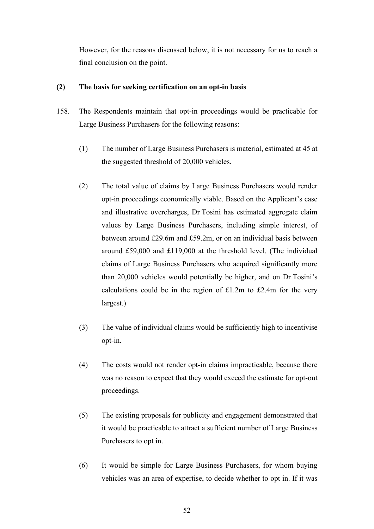However, for the reasons discussed below, it is not necessary for us to reach a final conclusion on the point.

# **(2) The basis for seeking certification on an opt-in basis**

- 158. The Respondents maintain that opt-in proceedings would be practicable for Large Business Purchasers for the following reasons:
	- (1) The number of Large Business Purchasers is material, estimated at 45 at the suggested threshold of 20,000 vehicles.
	- (2) The total value of claims by Large Business Purchasers would render opt-in proceedings economically viable. Based on the Applicant's case and illustrative overcharges, Dr Tosini has estimated aggregate claim values by Large Business Purchasers, including simple interest, of between around £29.6m and £59.2m, or on an individual basis between around £59,000 and £119,000 at the threshold level. (The individual claims of Large Business Purchasers who acquired significantly more than 20,000 vehicles would potentially be higher, and on Dr Tosini's calculations could be in the region of  $£1.2m$  to  $£2.4m$  for the very largest.)
	- (3) The value of individual claims would be sufficiently high to incentivise opt-in.
	- (4) The costs would not render opt-in claims impracticable, because there was no reason to expect that they would exceed the estimate for opt-out proceedings.
	- (5) The existing proposals for publicity and engagement demonstrated that it would be practicable to attract a sufficient number of Large Business Purchasers to opt in.
	- (6) It would be simple for Large Business Purchasers, for whom buying vehicles was an area of expertise, to decide whether to opt in. If it was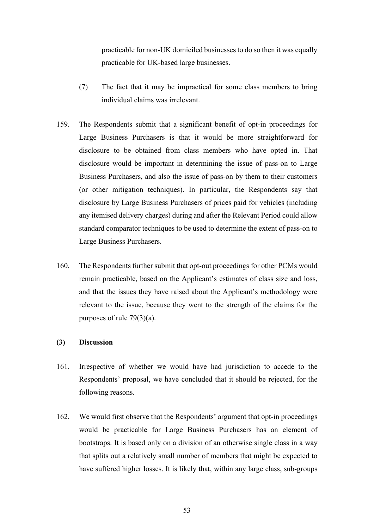practicable for non-UK domiciled businesses to do so then it was equally practicable for UK-based large businesses.

- (7) The fact that it may be impractical for some class members to bring individual claims was irrelevant.
- 159. The Respondents submit that a significant benefit of opt-in proceedings for Large Business Purchasers is that it would be more straightforward for disclosure to be obtained from class members who have opted in. That disclosure would be important in determining the issue of pass-on to Large Business Purchasers, and also the issue of pass-on by them to their customers (or other mitigation techniques). In particular, the Respondents say that disclosure by Large Business Purchasers of prices paid for vehicles (including any itemised delivery charges) during and after the Relevant Period could allow standard comparator techniques to be used to determine the extent of pass-on to Large Business Purchasers.
- 160. The Respondents further submit that opt-out proceedings for other PCMs would remain practicable, based on the Applicant's estimates of class size and loss, and that the issues they have raised about the Applicant's methodology were relevant to the issue, because they went to the strength of the claims for the purposes of rule 79(3)(a).

### **(3) Discussion**

- 161. Irrespective of whether we would have had jurisdiction to accede to the Respondents' proposal, we have concluded that it should be rejected, for the following reasons.
- 162. We would first observe that the Respondents' argument that opt-in proceedings would be practicable for Large Business Purchasers has an element of bootstraps. It is based only on a division of an otherwise single class in a way that splits out a relatively small number of members that might be expected to have suffered higher losses. It is likely that, within any large class, sub-groups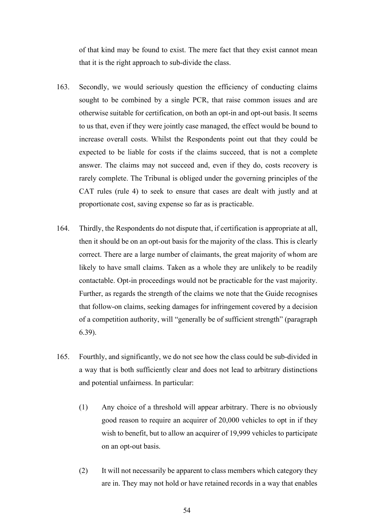of that kind may be found to exist. The mere fact that they exist cannot mean that it is the right approach to sub-divide the class.

- 163. Secondly, we would seriously question the efficiency of conducting claims sought to be combined by a single PCR, that raise common issues and are otherwise suitable for certification, on both an opt-in and opt-out basis. It seems to us that, even if they were jointly case managed, the effect would be bound to increase overall costs. Whilst the Respondents point out that they could be expected to be liable for costs if the claims succeed, that is not a complete answer. The claims may not succeed and, even if they do, costs recovery is rarely complete. The Tribunal is obliged under the governing principles of the CAT rules (rule 4) to seek to ensure that cases are dealt with justly and at proportionate cost, saving expense so far as is practicable.
- 164. Thirdly, the Respondents do not dispute that, if certification is appropriate at all, then it should be on an opt-out basis for the majority of the class. This is clearly correct. There are a large number of claimants, the great majority of whom are likely to have small claims. Taken as a whole they are unlikely to be readily contactable. Opt-in proceedings would not be practicable for the vast majority. Further, as regards the strength of the claims we note that the Guide recognises that follow-on claims, seeking damages for infringement covered by a decision of a competition authority, will "generally be of sufficient strength" (paragraph 6.39).
- 165. Fourthly, and significantly, we do not see how the class could be sub-divided in a way that is both sufficiently clear and does not lead to arbitrary distinctions and potential unfairness. In particular:
	- (1) Any choice of a threshold will appear arbitrary. There is no obviously good reason to require an acquirer of 20,000 vehicles to opt in if they wish to benefit, but to allow an acquirer of 19,999 vehicles to participate on an opt-out basis.
	- (2) It will not necessarily be apparent to class members which category they are in. They may not hold or have retained records in a way that enables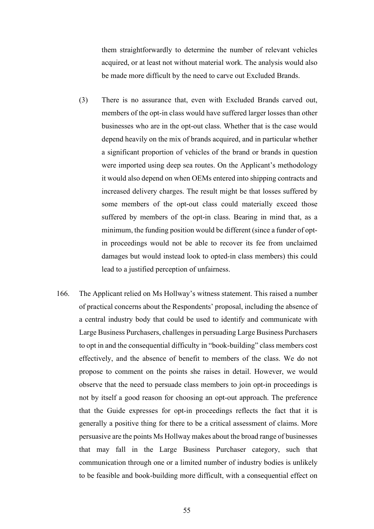them straightforwardly to determine the number of relevant vehicles acquired, or at least not without material work. The analysis would also be made more difficult by the need to carve out Excluded Brands.

- (3) There is no assurance that, even with Excluded Brands carved out, members of the opt-in class would have suffered larger losses than other businesses who are in the opt-out class. Whether that is the case would depend heavily on the mix of brands acquired, and in particular whether a significant proportion of vehicles of the brand or brands in question were imported using deep sea routes. On the Applicant's methodology it would also depend on when OEMs entered into shipping contracts and increased delivery charges. The result might be that losses suffered by some members of the opt-out class could materially exceed those suffered by members of the opt-in class. Bearing in mind that, as a minimum, the funding position would be different (since a funder of optin proceedings would not be able to recover its fee from unclaimed damages but would instead look to opted-in class members) this could lead to a justified perception of unfairness.
- 166. The Applicant relied on Ms Hollway's witness statement. This raised a number of practical concerns about the Respondents' proposal, including the absence of a central industry body that could be used to identify and communicate with Large Business Purchasers, challenges in persuading Large Business Purchasers to opt in and the consequential difficulty in "book-building" class members cost effectively, and the absence of benefit to members of the class. We do not propose to comment on the points she raises in detail. However, we would observe that the need to persuade class members to join opt-in proceedings is not by itself a good reason for choosing an opt-out approach. The preference that the Guide expresses for opt-in proceedings reflects the fact that it is generally a positive thing for there to be a critical assessment of claims. More persuasive are the points Ms Hollway makes about the broad range of businesses that may fall in the Large Business Purchaser category, such that communication through one or a limited number of industry bodies is unlikely to be feasible and book-building more difficult, with a consequential effect on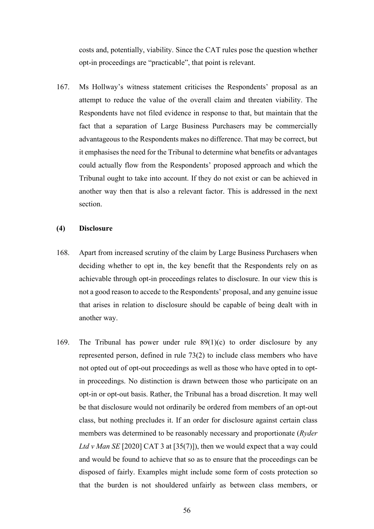costs and, potentially, viability. Since the CAT rules pose the question whether opt-in proceedings are "practicable", that point is relevant.

167. Ms Hollway's witness statement criticises the Respondents' proposal as an attempt to reduce the value of the overall claim and threaten viability. The Respondents have not filed evidence in response to that, but maintain that the fact that a separation of Large Business Purchasers may be commercially advantageous to the Respondents makes no difference. That may be correct, but it emphasises the need for the Tribunal to determine what benefits or advantages could actually flow from the Respondents' proposed approach and which the Tribunal ought to take into account. If they do not exist or can be achieved in another way then that is also a relevant factor. This is addressed in the next section.

### **(4) Disclosure**

- 168. Apart from increased scrutiny of the claim by Large Business Purchasers when deciding whether to opt in, the key benefit that the Respondents rely on as achievable through opt-in proceedings relates to disclosure. In our view this is not a good reason to accede to the Respondents' proposal, and any genuine issue that arises in relation to disclosure should be capable of being dealt with in another way.
- 169. The Tribunal has power under rule 89(1)(c) to order disclosure by any represented person, defined in rule 73(2) to include class members who have not opted out of opt-out proceedings as well as those who have opted in to optin proceedings. No distinction is drawn between those who participate on an opt-in or opt-out basis. Rather, the Tribunal has a broad discretion. It may well be that disclosure would not ordinarily be ordered from members of an opt-out class, but nothing precludes it. If an order for disclosure against certain class members was determined to be reasonably necessary and proportionate (*Ryder*  Ltd v Man SE [2020] CAT 3 at [35(7)]), then we would expect that a way could and would be found to achieve that so as to ensure that the proceedings can be disposed of fairly. Examples might include some form of costs protection so that the burden is not shouldered unfairly as between class members, or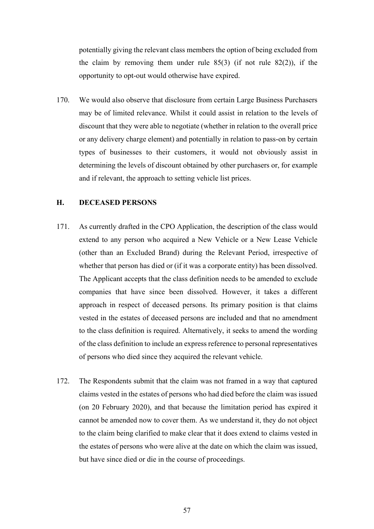potentially giving the relevant class members the option of being excluded from the claim by removing them under rule  $85(3)$  (if not rule  $82(2)$ ), if the opportunity to opt-out would otherwise have expired.

170. We would also observe that disclosure from certain Large Business Purchasers may be of limited relevance. Whilst it could assist in relation to the levels of discount that they were able to negotiate (whether in relation to the overall price or any delivery charge element) and potentially in relation to pass-on by certain types of businesses to their customers, it would not obviously assist in determining the levels of discount obtained by other purchasers or, for example and if relevant, the approach to setting vehicle list prices.

## **H. DECEASED PERSONS**

- 171. As currently drafted in the CPO Application, the description of the class would extend to any person who acquired a New Vehicle or a New Lease Vehicle (other than an Excluded Brand) during the Relevant Period, irrespective of whether that person has died or (if it was a corporate entity) has been dissolved. The Applicant accepts that the class definition needs to be amended to exclude companies that have since been dissolved. However, it takes a different approach in respect of deceased persons. Its primary position is that claims vested in the estates of deceased persons are included and that no amendment to the class definition is required. Alternatively, it seeks to amend the wording of the class definition to include an express reference to personal representatives of persons who died since they acquired the relevant vehicle.
- 172. The Respondents submit that the claim was not framed in a way that captured claims vested in the estates of persons who had died before the claim was issued (on 20 February 2020), and that because the limitation period has expired it cannot be amended now to cover them. As we understand it, they do not object to the claim being clarified to make clear that it does extend to claims vested in the estates of persons who were alive at the date on which the claim was issued, but have since died or die in the course of proceedings.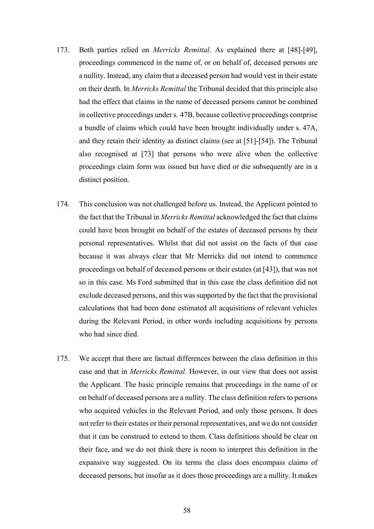- 173. Both parties relied on *Merricks Remittal*. As explained there at [48]-[49], proceedings commenced in the name of, or on behalf of, deceased persons are a nullity. Instead, any claim that a deceased person had would vest in their estate on their death. In *Merricks Remittal* the Tribunal decided that this principle also had the effect that claims in the name of deceased persons cannot be combined in collective proceedings under s. 47B, because collective proceedings comprise a bundle of claims which could have been brought individually under s. 47A, and they retain their identity as distinct claims (see at [51]-[54]). The Tribunal also recognised at [73] that persons who were alive when the collective proceedings claim form was issued but have died or die subsequently are in a distinct position.
- 174. This conclusion was not challenged before us. Instead, the Applicant pointed to the fact that the Tribunal in *Merricks Remittal* acknowledged the fact that claims could have been brought on behalf of the estates of deceased persons by their personal representatives. Whilst that did not assist on the facts of that case because it was always clear that Mr Merricks did not intend to commence proceedings on behalf of deceased persons or their estates (at [43]), that was not so in this case. Ms Ford submitted that in this case the class definition did not exclude deceased persons, and this was supported by the fact that the provisional calculations that had been done estimated all acquisitions of relevant vehicles during the Relevant Period, in other words including acquisitions by persons who had since died.
- 175. We accept that there are factual differences between the class definition in this case and that in *Merricks Remittal*. However, in our view that does not assist the Applicant. The basic principle remains that proceedings in the name of or on behalf of deceased persons are a nullity. The class definition refers to persons who acquired vehicles in the Relevant Period, and only those persons. It does not refer to their estates or their personal representatives, and we do not consider that it can be construed to extend to them. Class definitions should be clear on their face, and we do not think there is room to interpret this definition in the expansive way suggested. On its terms the class does encompass claims of deceased persons, but insofar as it does those proceedings are a nullity. It makes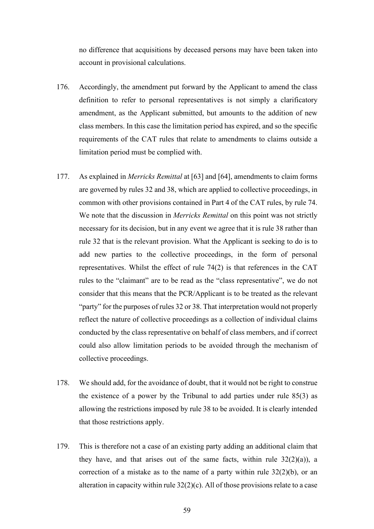no difference that acquisitions by deceased persons may have been taken into account in provisional calculations.

- 176. Accordingly, the amendment put forward by the Applicant to amend the class definition to refer to personal representatives is not simply a clarificatory amendment, as the Applicant submitted, but amounts to the addition of new class members. In this case the limitation period has expired, and so the specific requirements of the CAT rules that relate to amendments to claims outside a limitation period must be complied with.
- 177. As explained in *Merricks Remittal* at [63] and [64], amendments to claim forms are governed by rules 32 and 38, which are applied to collective proceedings, in common with other provisions contained in Part 4 of the CAT rules, by rule 74. We note that the discussion in *Merricks Remittal* on this point was not strictly necessary for its decision, but in any event we agree that it is rule 38 rather than rule 32 that is the relevant provision. What the Applicant is seeking to do is to add new parties to the collective proceedings, in the form of personal representatives. Whilst the effect of rule 74(2) is that references in the CAT rules to the "claimant" are to be read as the "class representative", we do not consider that this means that the PCR/Applicant is to be treated as the relevant "party" for the purposes of rules 32 or 38. That interpretation would not properly reflect the nature of collective proceedings as a collection of individual claims conducted by the class representative on behalf of class members, and if correct could also allow limitation periods to be avoided through the mechanism of collective proceedings.
- 178. We should add, for the avoidance of doubt, that it would not be right to construe the existence of a power by the Tribunal to add parties under rule 85(3) as allowing the restrictions imposed by rule 38 to be avoided. It is clearly intended that those restrictions apply.
- 179. This is therefore not a case of an existing party adding an additional claim that they have, and that arises out of the same facts, within rule  $32(2)(a)$ , a correction of a mistake as to the name of a party within rule  $32(2)(b)$ , or an alteration in capacity within rule  $32(2)(c)$ . All of those provisions relate to a case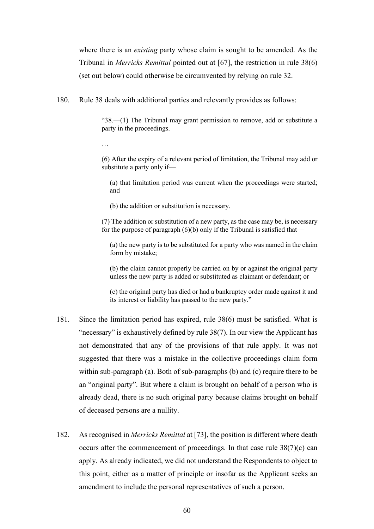where there is an *existing* party whose claim is sought to be amended. As the Tribunal in *Merricks Remittal* pointed out at [67], the restriction in rule 38(6) (set out below) could otherwise be circumvented by relying on rule 32.

180. Rule 38 deals with additional parties and relevantly provides as follows:

"38.—(1) The Tribunal may grant permission to remove, add or substitute a party in the proceedings.

…

(6) After the expiry of a relevant period of limitation, the Tribunal may add or substitute a party only if—

(a) that limitation period was current when the proceedings were started; and

(b) the addition or substitution is necessary.

(7) The addition or substitution of a new party, as the case may be, is necessary for the purpose of paragraph  $(6)(b)$  only if the Tribunal is satisfied that—

(a) the new party is to be substituted for a party who was named in the claim form by mistake;

(b) the claim cannot properly be carried on by or against the original party unless the new party is added or substituted as claimant or defendant; or

(c) the original party has died or had a bankruptcy order made against it and its interest or liability has passed to the new party."

- 181. Since the limitation period has expired, rule 38(6) must be satisfied. What is "necessary" is exhaustively defined by rule 38(7). In our view the Applicant has not demonstrated that any of the provisions of that rule apply. It was not suggested that there was a mistake in the collective proceedings claim form within sub-paragraph (a). Both of sub-paragraphs (b) and (c) require there to be an "original party". But where a claim is brought on behalf of a person who is already dead, there is no such original party because claims brought on behalf of deceased persons are a nullity.
- 182. As recognised in *Merricks Remittal* at [73], the position is different where death occurs after the commencement of proceedings. In that case rule  $38(7)(c)$  can apply. As already indicated, we did not understand the Respondents to object to this point, either as a matter of principle or insofar as the Applicant seeks an amendment to include the personal representatives of such a person.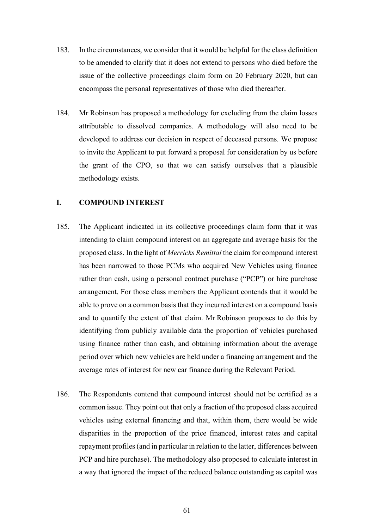- 183. In the circumstances, we consider that it would be helpful for the class definition to be amended to clarify that it does not extend to persons who died before the issue of the collective proceedings claim form on 20 February 2020, but can encompass the personal representatives of those who died thereafter.
- 184. Mr Robinson has proposed a methodology for excluding from the claim losses attributable to dissolved companies. A methodology will also need to be developed to address our decision in respect of deceased persons. We propose to invite the Applicant to put forward a proposal for consideration by us before the grant of the CPO, so that we can satisfy ourselves that a plausible methodology exists.

## **I. COMPOUND INTEREST**

- 185. The Applicant indicated in its collective proceedings claim form that it was intending to claim compound interest on an aggregate and average basis for the proposed class. In the light of *Merricks Remittal* the claim for compound interest has been narrowed to those PCMs who acquired New Vehicles using finance rather than cash, using a personal contract purchase ("PCP") or hire purchase arrangement. For those class members the Applicant contends that it would be able to prove on a common basis that they incurred interest on a compound basis and to quantify the extent of that claim. Mr Robinson proposes to do this by identifying from publicly available data the proportion of vehicles purchased using finance rather than cash, and obtaining information about the average period over which new vehicles are held under a financing arrangement and the average rates of interest for new car finance during the Relevant Period.
- 186. The Respondents contend that compound interest should not be certified as a common issue. They point out that only a fraction of the proposed class acquired vehicles using external financing and that, within them, there would be wide disparities in the proportion of the price financed, interest rates and capital repayment profiles (and in particular in relation to the latter, differences between PCP and hire purchase). The methodology also proposed to calculate interest in a way that ignored the impact of the reduced balance outstanding as capital was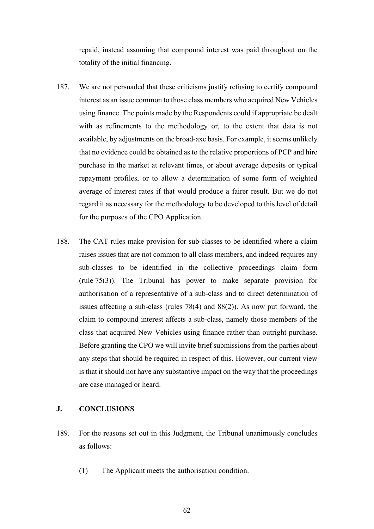repaid, instead assuming that compound interest was paid throughout on the totality of the initial financing.

- 187. We are not persuaded that these criticisms justify refusing to certify compound interest as an issue common to those class members who acquired New Vehicles using finance. The points made by the Respondents could if appropriate be dealt with as refinements to the methodology or, to the extent that data is not available, by adjustments on the broad-axe basis. For example, it seems unlikely that no evidence could be obtained as to the relative proportions of PCP and hire purchase in the market at relevant times, or about average deposits or typical repayment profiles, or to allow a determination of some form of weighted average of interest rates if that would produce a fairer result. But we do not regard it as necessary for the methodology to be developed to this level of detail for the purposes of the CPO Application.
- 188. The CAT rules make provision for sub-classes to be identified where a claim raises issues that are not common to all class members, and indeed requires any sub-classes to be identified in the collective proceedings claim form (rule 75(3)). The Tribunal has power to make separate provision for authorisation of a representative of a sub-class and to direct determination of issues affecting a sub-class (rules 78(4) and 88(2)). As now put forward, the claim to compound interest affects a sub-class, namely those members of the class that acquired New Vehicles using finance rather than outright purchase. Before granting the CPO we will invite brief submissions from the parties about any steps that should be required in respect of this. However, our current view is that it should not have any substantive impact on the way that the proceedings are case managed or heard.

# **J. CONCLUSIONS**

- 189. For the reasons set out in this Judgment, the Tribunal unanimously concludes as follows:
	- (1) The Applicant meets the authorisation condition.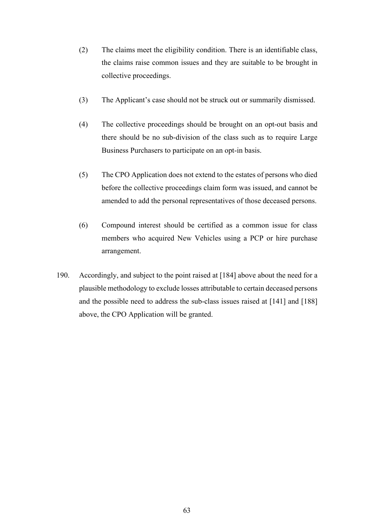- (2) The claims meet the eligibility condition. There is an identifiable class, the claims raise common issues and they are suitable to be brought in collective proceedings.
- (3) The Applicant's case should not be struck out or summarily dismissed.
- (4) The collective proceedings should be brought on an opt-out basis and there should be no sub-division of the class such as to require Large Business Purchasers to participate on an opt-in basis.
- (5) The CPO Application does not extend to the estates of persons who died before the collective proceedings claim form was issued, and cannot be amended to add the personal representatives of those deceased persons.
- (6) Compound interest should be certified as a common issue for class members who acquired New Vehicles using a PCP or hire purchase arrangement.
- 190. Accordingly, and subject to the point raised at [184] above about the need for a plausible methodology to exclude losses attributable to certain deceased persons and the possible need to address the sub-class issues raised at [141] and [188] above, the CPO Application will be granted.